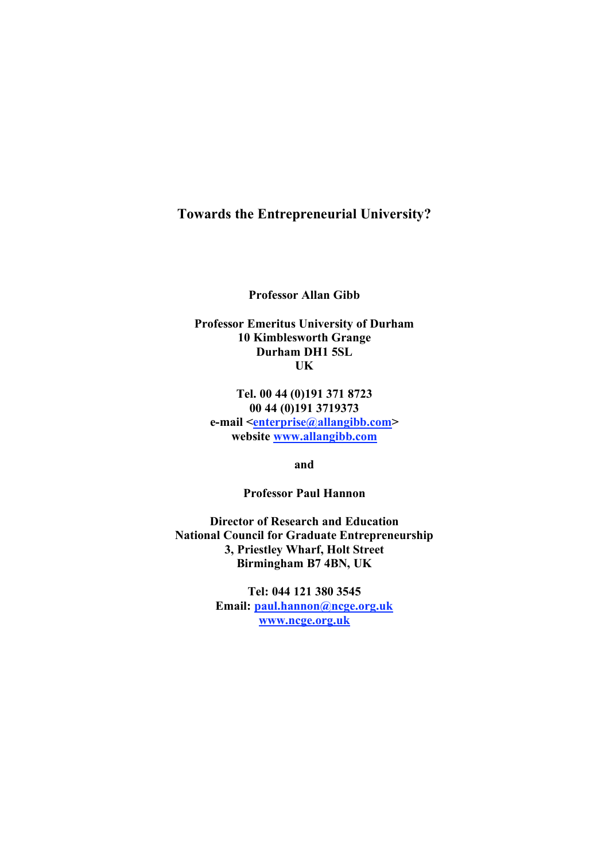# **Towards the Entrepreneurial University?**

**Professor Allan Gibb**

**Professor Emeritus University of Durham 10 Kimblesworth Grange Durham DH1 5SL UK**

**Tel. 00 44 (0)191 371 8723 00 44 (0)191 3719373 e-mail <enterprise@allangibb.com> website www.allangibb.com**

**and**

**Professor Paul Hannon**

**Director of Research and Education National Council for Graduate Entrepreneurship 3, Priestley Wharf, Holt Street Birmingham B7 4BN, UK**

> **Tel: 044 121 380 3545 Email: paul.hannon@ncge.org.uk www.ncge.org.uk**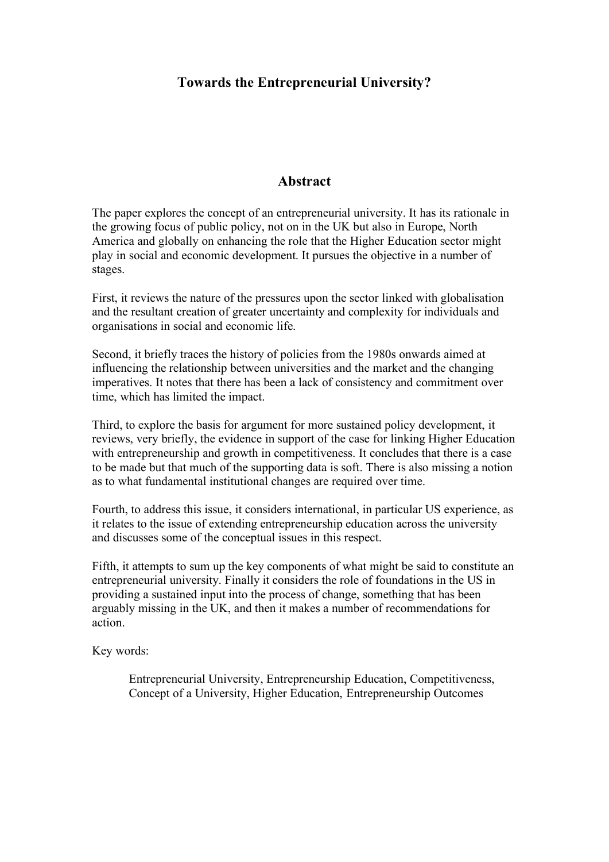# **Towards the Entrepreneurial University?**

## **Abstract**

The paper explores the concept of an entrepreneurial university. It has its rationale in the growing focus of public policy, not on in the UK but also in Europe, North America and globally on enhancing the role that the Higher Education sector might play in social and economic development. It pursues the objective in a number of stages.

First, it reviews the nature of the pressures upon the sector linked with globalisation and the resultant creation of greater uncertainty and complexity for individuals and organisations in social and economic life.

Second, it briefly traces the history of policies from the 1980s onwards aimed at influencing the relationship between universities and the market and the changing imperatives. It notes that there has been a lack of consistency and commitment over time, which has limited the impact.

Third, to explore the basis for argument for more sustained policy development, it reviews, very briefly, the evidence in support of the case for linking Higher Education with entrepreneurship and growth in competitiveness. It concludes that there is a case to be made but that much of the supporting data is soft. There is also missing a notion as to what fundamental institutional changes are required over time.

Fourth, to address this issue, it considers international, in particular US experience, as it relates to the issue of extending entrepreneurship education across the university and discusses some of the conceptual issues in this respect.

Fifth, it attempts to sum up the key components of what might be said to constitute an entrepreneurial university. Finally it considers the role of foundations in the US in providing a sustained input into the process of change, something that has been arguably missing in the UK, and then it makes a number of recommendations for action.

Key words:

Entrepreneurial University, Entrepreneurship Education, Competitiveness, Concept of a University, Higher Education, Entrepreneurship Outcomes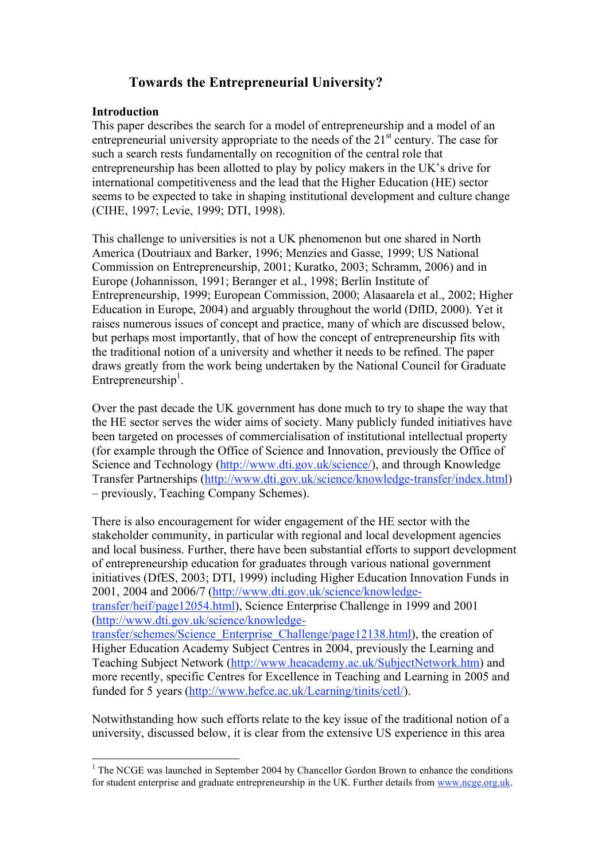# **Towards the Entrepreneurial University?**

### **Introduction**

This paper describes the search for a model of entrepreneurship and a model of an entrepreneurial university appropriate to the needs of the 21<sup>st</sup> century. The case for such a search rests fundamentally on recognition of the central role that entrepreneurship has been allotted to play by policy makers in the UK's drive for international competitiveness and the lead that the Higher Education (HE) sector seems to be expected to take in shaping institutional development and culture change (CIHE, 1997; Levie, 1999; DTI, 1998).

This challenge to universities is not a UK phenomenon but one shared in North America (Doutriaux and Barker, 1996; Menzies and Gasse, 1999; US National Commission on Entrepreneurship, 2001; Kuratko, 2003; Schramm, 2006) and in Europe (Johannisson, 1991; Beranger et al., 1998; Berlin Institute of Entrepreneurship, 1999; European Commission, 2000; Alasaarela et al., 2002; Higher Education in Europe, 2004) and arguably throughout the world (DfID, 2000). Yet it raises numerous issues of concept and practice, many of which are discussed below, but perhaps most importantly, that of how the concept of entrepreneurship fits with the traditional notion of a university and whether it needs to be refined. The paper draws greatly from the work being undertaken by the National Council for Graduate Entrepreneurship<sup>1</sup>.

Over the past decade the UK government has done much to try to shape the way that the HE sector serves the wider aims of society. Many publicly funded initiatives have been targeted on processes of commercialisation of institutional intellectual property (for example through the Office of Science and Innovation, previously the Office of Science and Technology (http://www.dti.gov.uk/science/), and through Knowledge Transfer Partnerships (http://www.dti.gov.uk/science/knowledge-transfer/index.html) – previously, Teaching Company Schemes).

There is also encouragement for wider engagement of the HE sector with the stakeholder community, in particular with regional and local development agencies and local business. Further, there have been substantial efforts to support development of entrepreneurship education for graduates through various national government initiatives (DfES, 2003; DTI, 1999) including Higher Education Innovation Funds in 2001, 2004 and 2006/7 (http://www.dti.gov.uk/science/knowledgetransfer/heif/page12054.html), Science Enterprise Challenge in 1999 and 2001 (http://www.dti.gov.uk/science/knowledge-

transfer/schemes/Science\_Enterprise\_Challenge/page12138.html), the creation of Higher Education Academy Subject Centres in 2004, previously the Learning and Teaching Subject Network (http://www.heacademy.ac.uk/SubjectNetwork.htm) and more recently, specific Centres for Excellence in Teaching and Learning in 2005 and funded for 5 years (http://www.hefce.ac.uk/Learning/tinits/cetl/).

Notwithstanding how such efforts relate to the key issue of the traditional notion of a university, discussed below, it is clear from the extensive US experience in this area

 $<sup>1</sup>$  The NCGE was launched in September 2004 by Chancellor Gordon Brown to enhance the conditions</sup> for student enterprise and graduate entrepreneurship in the UK. Further details from www.ncge.org.uk.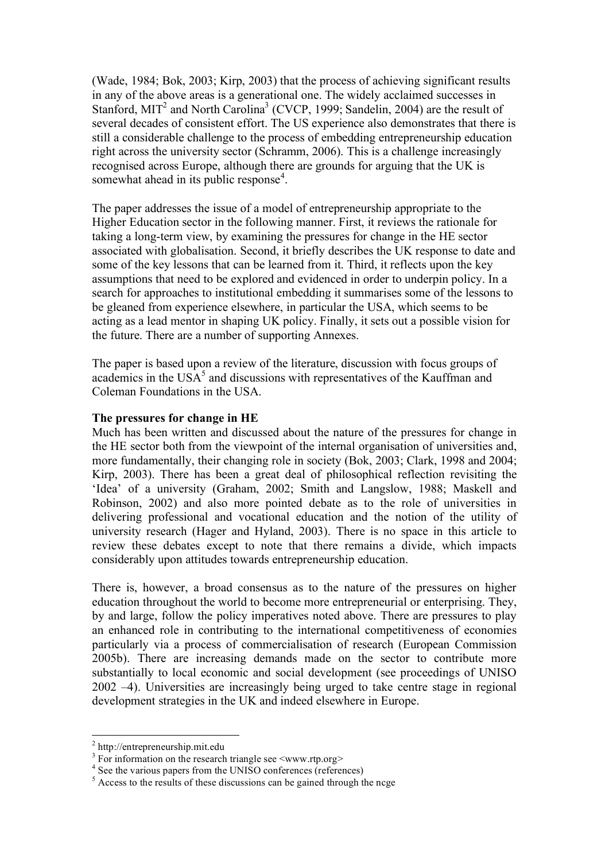(Wade, 1984; Bok, 2003; Kirp, 2003) that the process of achieving significant results in any of the above areas is a generational one. The widely acclaimed successes in Stanford, MIT<sup>2</sup> and North Carolina<sup>3</sup> (CVCP, 1999; Sandelin, 2004) are the result of several decades of consistent effort. The US experience also demonstrates that there is still a considerable challenge to the process of embedding entrepreneurship education right across the university sector (Schramm, 2006). This is a challenge increasingly recognised across Europe, although there are grounds for arguing that the UK is somewhat ahead in its public response<sup>4</sup>.

The paper addresses the issue of a model of entrepreneurship appropriate to the Higher Education sector in the following manner. First, it reviews the rationale for taking a long-term view, by examining the pressures for change in the HE sector associated with globalisation. Second, it briefly describes the UK response to date and some of the key lessons that can be learned from it. Third, it reflects upon the key assumptions that need to be explored and evidenced in order to underpin policy. In a search for approaches to institutional embedding it summarises some of the lessons to be gleaned from experience elsewhere, in particular the USA, which seems to be acting as a lead mentor in shaping UK policy. Finally, it sets out a possible vision for the future. There are a number of supporting Annexes.

The paper is based upon a review of the literature, discussion with focus groups of academics in the  $USA<sup>5</sup>$  and discussions with representatives of the Kauffman and Coleman Foundations in the USA.

#### **The pressures for change in HE**

Much has been written and discussed about the nature of the pressures for change in the HE sector both from the viewpoint of the internal organisation of universities and, more fundamentally, their changing role in society (Bok, 2003; Clark, 1998 and 2004; Kirp, 2003). There has been a great deal of philosophical reflection revisiting the 'Idea' of a university (Graham, 2002; Smith and Langslow, 1988; Maskell and Robinson, 2002) and also more pointed debate as to the role of universities in delivering professional and vocational education and the notion of the utility of university research (Hager and Hyland, 2003). There is no space in this article to review these debates except to note that there remains a divide, which impacts considerably upon attitudes towards entrepreneurship education.

There is, however, a broad consensus as to the nature of the pressures on higher education throughout the world to become more entrepreneurial or enterprising. They, by and large, follow the policy imperatives noted above. There are pressures to play an enhanced role in contributing to the international competitiveness of economies particularly via a process of commercialisation of research (European Commission 2005b). There are increasing demands made on the sector to contribute more substantially to local economic and social development (see proceedings of UNISO 2002 –4). Universities are increasingly being urged to take centre stage in regional development strategies in the UK and indeed elsewhere in Europe.

<sup>&</sup>lt;sup>2</sup> http://entrepreneurship.mit.edu<br>
<sup>3</sup> For information on the research triangle see <www.rtp.org><br>
<sup>4</sup> See the various papers from the UNISO conferences (references)<br>
<sup>5</sup> Access to the results of these discussions can b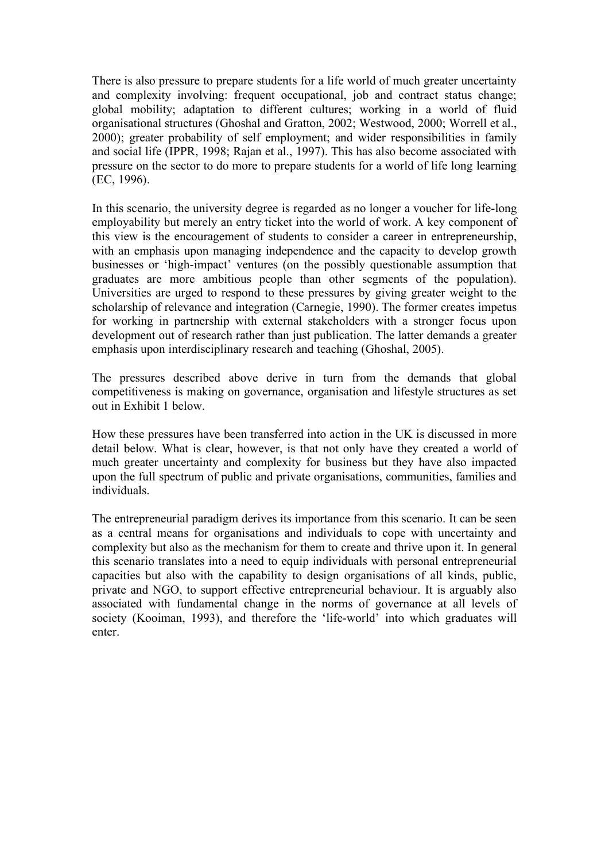There is also pressure to prepare students for a life world of much greater uncertainty and complexity involving: frequent occupational, job and contract status change; global mobility; adaptation to different cultures; working in a world of fluid organisational structures (Ghoshal and Gratton, 2002; Westwood, 2000; Worrell et al., 2000); greater probability of self employment; and wider responsibilities in family and social life (IPPR, 1998; Rajan et al., 1997). This has also become associated with pressure on the sector to do more to prepare students for a world of life long learning (EC, 1996).

In this scenario, the university degree is regarded as no longer a voucher for life-long employability but merely an entry ticket into the world of work. A key component of this view is the encouragement of students to consider a career in entrepreneurship, with an emphasis upon managing independence and the capacity to develop growth businesses or 'high-impact' ventures (on the possibly questionable assumption that graduates are more ambitious people than other segments of the population). Universities are urged to respond to these pressures by giving greater weight to the scholarship of relevance and integration (Carnegie, 1990). The former creates impetus for working in partnership with external stakeholders with a stronger focus upon development out of research rather than just publication. The latter demands a greater emphasis upon interdisciplinary research and teaching (Ghoshal, 2005).

The pressures described above derive in turn from the demands that global competitiveness is making on governance, organisation and lifestyle structures as set out in Exhibit 1 below.

How these pressures have been transferred into action in the UK is discussed in more detail below. What is clear, however, is that not only have they created a world of much greater uncertainty and complexity for business but they have also impacted upon the full spectrum of public and private organisations, communities, families and individuals.

The entrepreneurial paradigm derives its importance from this scenario. It can be seen as a central means for organisations and individuals to cope with uncertainty and complexity but also as the mechanism for them to create and thrive upon it. In general this scenario translates into a need to equip individuals with personal entrepreneurial capacities but also with the capability to design organisations of all kinds, public, private and NGO, to support effective entrepreneurial behaviour. It is arguably also associated with fundamental change in the norms of governance at all levels of society (Kooiman, 1993), and therefore the 'life-world' into which graduates will enter.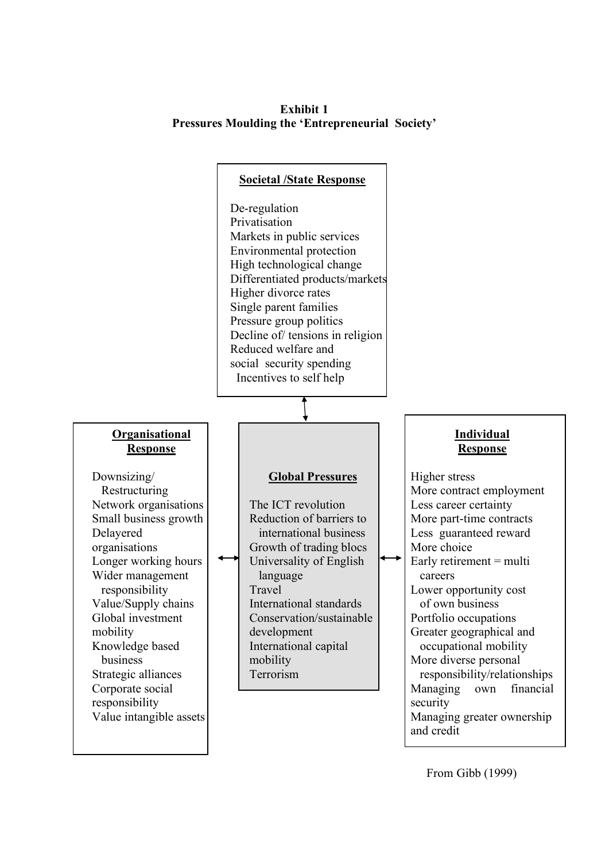**Exhibit 1 Pressures Moulding the 'Entrepreneurial Society'**

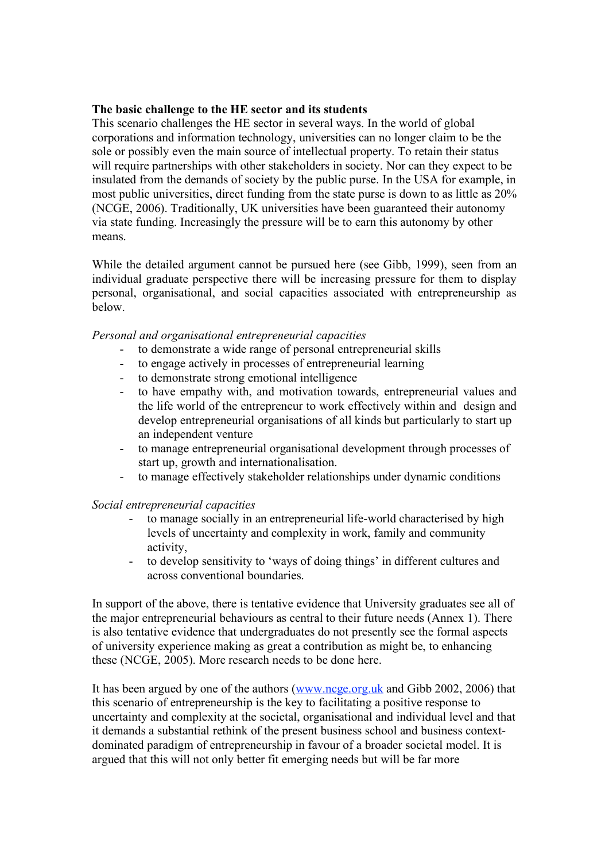#### **The basic challenge to the HE sector and its students**

This scenario challenges the HE sector in several ways. In the world of global corporations and information technology, universities can no longer claim to be the sole or possibly even the main source of intellectual property. To retain their status will require partnerships with other stakeholders in society. Nor can they expect to be insulated from the demands of society by the public purse. In the USA for example, in most public universities, direct funding from the state purse is down to as little as 20% (NCGE, 2006). Traditionally, UK universities have been guaranteed their autonomy via state funding. Increasingly the pressure will be to earn this autonomy by other means.

While the detailed argument cannot be pursued here (see Gibb, 1999), seen from an individual graduate perspective there will be increasing pressure for them to display personal, organisational, and social capacities associated with entrepreneurship as below.

#### *Personal and organisational entrepreneurial capacities*

- to demonstrate a wide range of personal entrepreneurial skills
- to engage actively in processes of entrepreneurial learning
- to demonstrate strong emotional intelligence
- to have empathy with, and motivation towards, entrepreneurial values and the life world of the entrepreneur to work effectively within and design and develop entrepreneurial organisations of all kinds but particularly to start up an independent venture
- to manage entrepreneurial organisational development through processes of start up, growth and internationalisation.
- to manage effectively stakeholder relationships under dynamic conditions

*Social entrepreneurial capacities*

- to manage socially in an entrepreneurial life-world characterised by high levels of uncertainty and complexity in work, family and community activity,
- to develop sensitivity to 'ways of doing things' in different cultures and across conventional boundaries.

In support of the above, there is tentative evidence that University graduates see all of the major entrepreneurial behaviours as central to their future needs (Annex 1). There is also tentative evidence that undergraduates do not presently see the formal aspects of university experience making as great a contribution as might be, to enhancing these (NCGE, 2005). More research needs to be done here.

It has been argued by one of the authors (www.ncge.org.uk and Gibb 2002, 2006) that this scenario of entrepreneurship is the key to facilitating a positive response to uncertainty and complexity at the societal, organisational and individual level and that it demands a substantial rethink of the present business school and business contextdominated paradigm of entrepreneurship in favour of a broader societal model. It is argued that this will not only better fit emerging needs but will be far more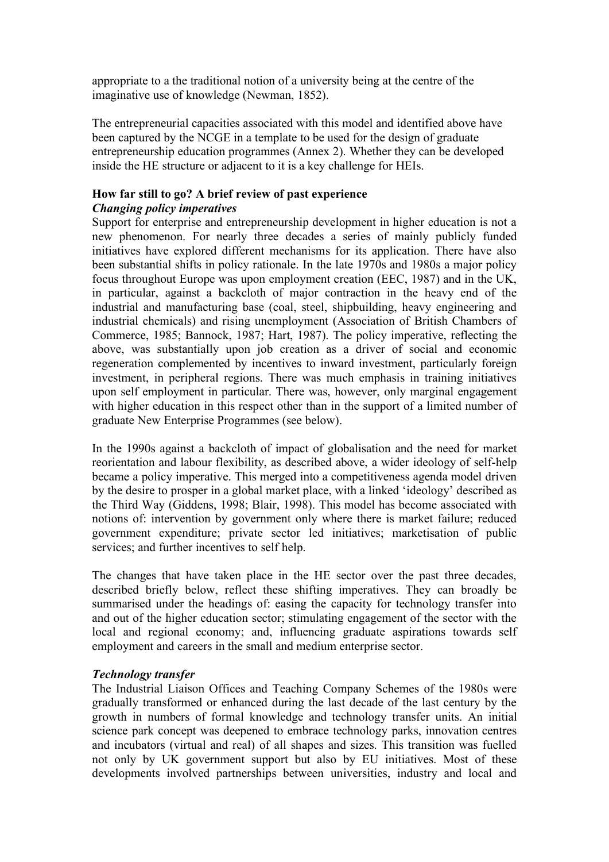appropriate to a the traditional notion of a university being at the centre of the imaginative use of knowledge (Newman, 1852).

The entrepreneurial capacities associated with this model and identified above have been captured by the NCGE in a template to be used for the design of graduate entrepreneurship education programmes (Annex 2). Whether they can be developed inside the HE structure or adjacent to it is a key challenge for HEIs.

### **How far still to go? A brief review of past experience** *Changing policy imperatives*

Support for enterprise and entrepreneurship development in higher education is not a new phenomenon. For nearly three decades a series of mainly publicly funded initiatives have explored different mechanisms for its application. There have also been substantial shifts in policy rationale. In the late 1970s and 1980s a major policy focus throughout Europe was upon employment creation (EEC, 1987) and in the UK, in particular, against a backcloth of major contraction in the heavy end of the industrial and manufacturing base (coal, steel, shipbuilding, heavy engineering and industrial chemicals) and rising unemployment (Association of British Chambers of Commerce, 1985; Bannock, 1987; Hart, 1987). The policy imperative, reflecting the above, was substantially upon job creation as a driver of social and economic regeneration complemented by incentives to inward investment, particularly foreign investment, in peripheral regions. There was much emphasis in training initiatives upon self employment in particular. There was, however, only marginal engagement with higher education in this respect other than in the support of a limited number of graduate New Enterprise Programmes (see below).

In the 1990s against a backcloth of impact of globalisation and the need for market reorientation and labour flexibility, as described above, a wider ideology of self-help became a policy imperative. This merged into a competitiveness agenda model driven by the desire to prosper in a global market place, with a linked 'ideology' described as the Third Way (Giddens, 1998; Blair, 1998). This model has become associated with notions of: intervention by government only where there is market failure; reduced government expenditure; private sector led initiatives; marketisation of public services; and further incentives to self help.

The changes that have taken place in the HE sector over the past three decades, described briefly below, reflect these shifting imperatives. They can broadly be summarised under the headings of: easing the capacity for technology transfer into and out of the higher education sector; stimulating engagement of the sector with the local and regional economy; and, influencing graduate aspirations towards self employment and careers in the small and medium enterprise sector.

# *Technology transfer*

The Industrial Liaison Offices and Teaching Company Schemes of the 1980s were gradually transformed or enhanced during the last decade of the last century by the growth in numbers of formal knowledge and technology transfer units. An initial science park concept was deepened to embrace technology parks, innovation centres and incubators (virtual and real) of all shapes and sizes. This transition was fuelled not only by UK government support but also by EU initiatives. Most of these developments involved partnerships between universities, industry and local and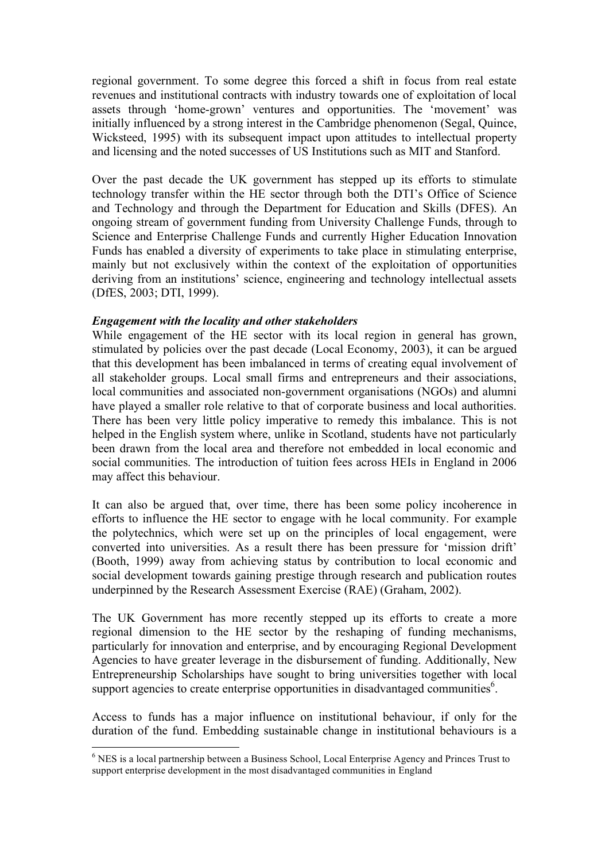regional government. To some degree this forced a shift in focus from real estate revenues and institutional contracts with industry towards one of exploitation of local assets through 'home-grown' ventures and opportunities. The 'movement' was initially influenced by a strong interest in the Cambridge phenomenon (Segal, Quince, Wicksteed, 1995) with its subsequent impact upon attitudes to intellectual property and licensing and the noted successes of US Institutions such as MIT and Stanford.

Over the past decade the UK government has stepped up its efforts to stimulate technology transfer within the HE sector through both the DTI's Office of Science and Technology and through the Department for Education and Skills (DFES). An ongoing stream of government funding from University Challenge Funds, through to Science and Enterprise Challenge Funds and currently Higher Education Innovation Funds has enabled a diversity of experiments to take place in stimulating enterprise, mainly but not exclusively within the context of the exploitation of opportunities deriving from an institutions' science, engineering and technology intellectual assets (DfES, 2003; DTI, 1999).

### *Engagement with the locality and other stakeholders*

While engagement of the HE sector with its local region in general has grown, stimulated by policies over the past decade (Local Economy, 2003), it can be argued that this development has been imbalanced in terms of creating equal involvement of all stakeholder groups. Local small firms and entrepreneurs and their associations, local communities and associated non-government organisations (NGOs) and alumni have played a smaller role relative to that of corporate business and local authorities. There has been very little policy imperative to remedy this imbalance. This is not helped in the English system where, unlike in Scotland, students have not particularly been drawn from the local area and therefore not embedded in local economic and social communities. The introduction of tuition fees across HEIs in England in 2006 may affect this behaviour.

It can also be argued that, over time, there has been some policy incoherence in efforts to influence the HE sector to engage with he local community. For example the polytechnics, which were set up on the principles of local engagement, were converted into universities. As a result there has been pressure for 'mission drift' (Booth, 1999) away from achieving status by contribution to local economic and social development towards gaining prestige through research and publication routes underpinned by the Research Assessment Exercise (RAE) (Graham, 2002).

The UK Government has more recently stepped up its efforts to create a more regional dimension to the HE sector by the reshaping of funding mechanisms, particularly for innovation and enterprise, and by encouraging Regional Development Agencies to have greater leverage in the disbursement of funding. Additionally, New Entrepreneurship Scholarships have sought to bring universities together with local support agencies to create enterprise opportunities in disadvantaged communities<sup>6</sup>.

Access to funds has a major influence on institutional behaviour, if only for the duration of the fund. Embedding sustainable change in institutional behaviours is a

 <sup>6</sup> NES is <sup>a</sup> local partnership between <sup>a</sup> Business School, Local Enterprise Agency and Princes Trust to support enterprise development in the most disadvantaged communities in England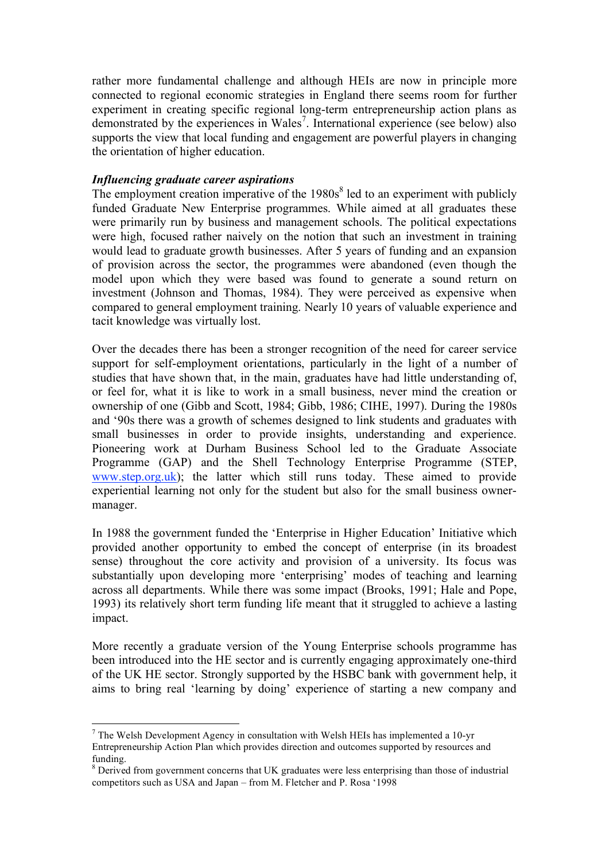rather more fundamental challenge and although HEIs are now in principle more connected to regional economic strategies in England there seems room for further experiment in creating specific regional long-term entrepreneurship action plans as demonstrated by the experiences in Wales 7 . International experience (see below) also supports the view that local funding and engagement are powerful players in changing the orientation of higher education.

#### *Influencing graduate career aspirations*

The employment creation imperative of the  $1980s<sup>8</sup>$  led to an experiment with publicly funded Graduate New Enterprise programmes. While aimed at all graduates these were primarily run by business and management schools. The political expectations were high, focused rather naively on the notion that such an investment in training would lead to graduate growth businesses. After 5 years of funding and an expansion of provision across the sector, the programmes were abandoned (even though the model upon which they were based was found to generate a sound return on investment (Johnson and Thomas, 1984). They were perceived as expensive when compared to general employment training. Nearly 10 years of valuable experience and tacit knowledge was virtually lost.

Over the decades there has been a stronger recognition of the need for career service support for self-employment orientations, particularly in the light of a number of studies that have shown that, in the main, graduates have had little understanding of, or feel for, what it is like to work in a small business, never mind the creation or ownership of one (Gibb and Scott, 1984; Gibb, 1986; CIHE, 1997). During the 1980s and '90s there was a growth of schemes designed to link students and graduates with small businesses in order to provide insights, understanding and experience. Pioneering work at Durham Business School led to the Graduate Associate Programme (GAP) and the Shell Technology Enterprise Programme (STEP, www.step.org.uk); the latter which still runs today. These aimed to provide experiential learning not only for the student but also for the small business ownermanager.

In 1988 the government funded the 'Enterprise in Higher Education' Initiative which provided another opportunity to embed the concept of enterprise (in its broadest sense) throughout the core activity and provision of a university. Its focus was substantially upon developing more 'enterprising' modes of teaching and learning across all departments. While there was some impact (Brooks, 1991; Hale and Pope, 1993) its relatively short term funding life meant that it struggled to achieve a lasting impact.

More recently a graduate version of the Young Enterprise schools programme has been introduced into the HE sector and is currently engaging approximately one-third of the UK HE sector. Strongly supported by the HSBC bank with government help, it aims to bring real 'learning by doing' experience of starting a new company and

 $<sup>7</sup>$  The Welsh Development Agency in consultation with Welsh HEIs has implemented a 10-yr</sup> Entrepreneurship Action Plan which provides direction and outcomes supported by resources and funding.<br><sup>8</sup> Derived from government concerns that UK graduates were less enterprising than those of industrial

competitors such as USA and Japan – from M. Fletcher and P. Rosa '1998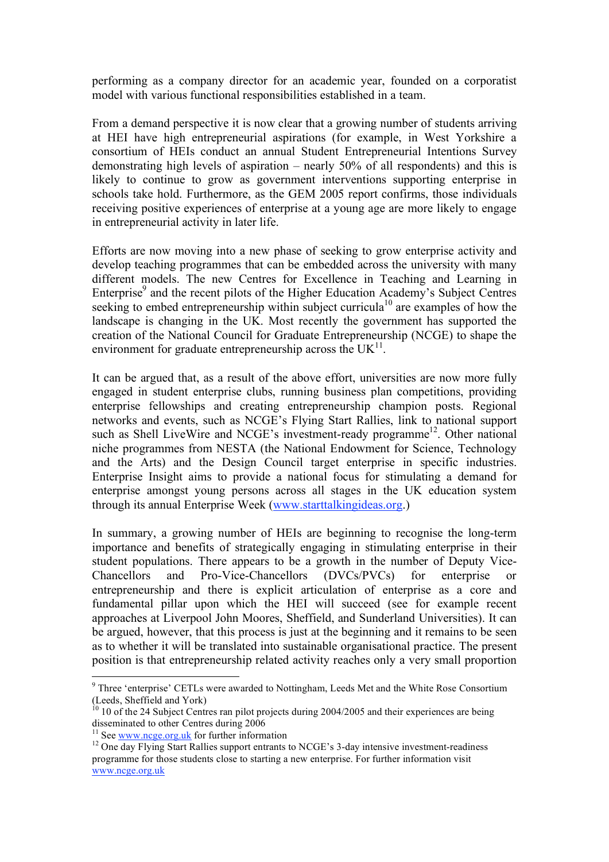performing as a company director for an academic year, founded on a corporatist model with various functional responsibilities established in a team.

From a demand perspective it is now clear that a growing number of students arriving at HEI have high entrepreneurial aspirations (for example, in West Yorkshire a consortium of HEIs conduct an annual Student Entrepreneurial Intentions Survey demonstrating high levels of aspiration – nearly 50% of all respondents) and this is likely to continue to grow as government interventions supporting enterprise in schools take hold. Furthermore, as the GEM 2005 report confirms, those individuals receiving positive experiences of enterprise at a young age are more likely to engage in entrepreneurial activity in later life.

Efforts are now moving into a new phase of seeking to grow enterprise activity and develop teaching programmes that can be embedded across the university with many different models. The new Centres for Excellence in Teaching and Learning in Enterprise <sup>9</sup> and the recent pilots of the Higher Education Academy's Subject Centres seeking to embed entrepreneurship within subject curricula<sup>10</sup> are examples of how the landscape is changing in the UK. Most recently the government has supported the creation of the National Council for Graduate Entrepreneurship (NCGE) to shape the environment for graduate entrepreneurship across the  $UK<sup>11</sup>$ .

It can be argued that, as a result of the above effort, universities are now more fully engaged in student enterprise clubs, running business plan competitions, providing enterprise fellowships and creating entrepreneurship champion posts. Regional networks and events, such as NCGE's Flying Start Rallies, link to national support such as Shell LiveWire and NCGE's investment-ready programme<sup>12</sup>. Other national niche programmes from NESTA (the National Endowment for Science, Technology and the Arts) and the Design Council target enterprise in specific industries. Enterprise Insight aims to provide a national focus for stimulating a demand for enterprise amongst young persons across all stages in the UK education system through its annual Enterprise Week (www.starttalkingideas.org.)

In summary, a growing number of HEIs are beginning to recognise the long-term importance and benefits of strategically engaging in stimulating enterprise in their student populations. There appears to be a growth in the number of Deputy Vice-Chancellors and Pro-Vice-Chancellors (DVCs/PVCs) for enterprise or entrepreneurship and there is explicit articulation of enterprise as a core and fundamental pillar upon which the HEI will succeed (see for example recent approaches at Liverpool John Moores, Sheffield, and Sunderland Universities). It can be argued, however, that this process is just at the beginning and it remains to be seen as to whether it will be translated into sustainable organisational practice. The present position is that entrepreneurship related activity reaches only a very small proportion

<sup>&</sup>lt;sup>9</sup> Three 'enterprise' CETLs were awarded to Nottingham, Leeds Met and the White Rose Consortium

<sup>(</sup>Leeds, Sheffield and York)<br><sup>10</sup> 10 of the 24 Subject Centres ran pilot projects during 2004/2005 and their experiences are being<br>disseminated to other Centres during 2006

<sup>&</sup>lt;sup>11</sup> See <u>www.ncge.org.uk</u> for further information <sup>12</sup> One day Flying Start Rallies support entrants to NCGE's 3-day intensive investment-readiness programme for those students close to starting a new enterprise. For further information visit www.ncge.org.uk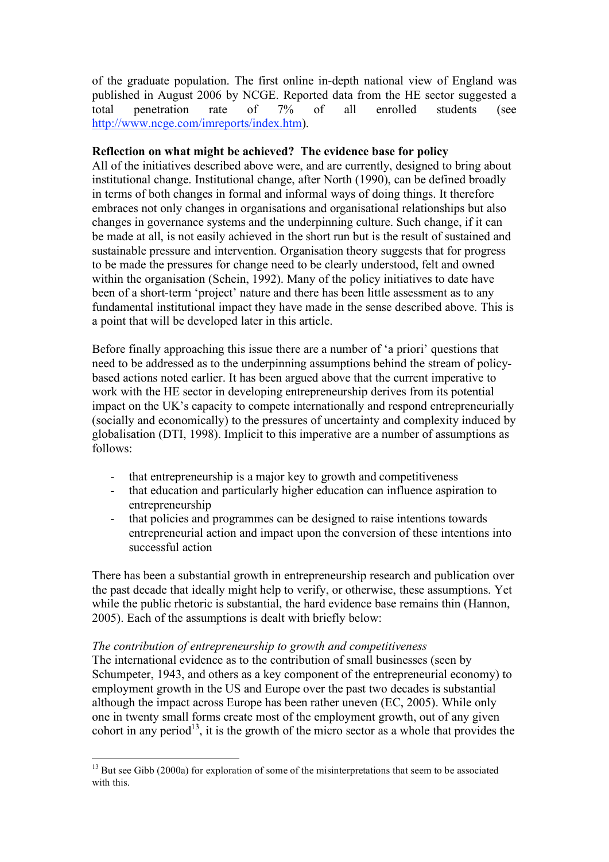of the graduate population. The first online in-depth national view of England was published in August 2006 by NCGE. Reported data from the HE sector suggested a total penetration rate of 7% of all enrolled students (see http://www.ncge.com/imreports/index.htm).

## **Reflection on what might be achieved? The evidence base for policy**

All of the initiatives described above were, and are currently, designed to bring about institutional change. Institutional change, after North (1990), can be defined broadly in terms of both changes in formal and informal ways of doing things. It therefore embraces not only changes in organisations and organisational relationships but also changes in governance systems and the underpinning culture. Such change, if it can be made at all, is not easily achieved in the short run but is the result of sustained and sustainable pressure and intervention. Organisation theory suggests that for progress to be made the pressures for change need to be clearly understood, felt and owned within the organisation (Schein, 1992). Many of the policy initiatives to date have been of a short-term 'project' nature and there has been little assessment as to any fundamental institutional impact they have made in the sense described above. This is a point that will be developed later in this article.

Before finally approaching this issue there are a number of 'a priori' questions that need to be addressed as to the underpinning assumptions behind the stream of policybased actions noted earlier. It has been argued above that the current imperative to work with the HE sector in developing entrepreneurship derives from its potential impact on the UK's capacity to compete internationally and respond entrepreneurially (socially and economically) to the pressures of uncertainty and complexity induced by globalisation (DTI, 1998). Implicit to this imperative are a number of assumptions as follows:

- that entrepreneurship is a major key to growth and competitiveness
- that education and particularly higher education can influence aspiration to entrepreneurship
- that policies and programmes can be designed to raise intentions towards entrepreneurial action and impact upon the conversion of these intentions into successful action

There has been a substantial growth in entrepreneurship research and publication over the past decade that ideally might help to verify, or otherwise, these assumptions. Yet while the public rhetoric is substantial, the hard evidence base remains thin (Hannon, 2005). Each of the assumptions is dealt with briefly below:

### *The contribution of entrepreneurship to growth and competitiveness*

The international evidence as to the contribution of small businesses (seen by Schumpeter, 1943, and others as a key component of the entrepreneurial economy) to employment growth in the US and Europe over the past two decades is substantial although the impact across Europe has been rather uneven (EC, 2005). While only one in twenty small forms create most of the employment growth, out of any given cohort in any period<sup>13</sup>, it is the growth of the micro sector as a whole that provides the

<sup>&</sup>lt;sup>13</sup> But see Gibb (2000a) for exploration of some of the misinterpretations that seem to be associated with this.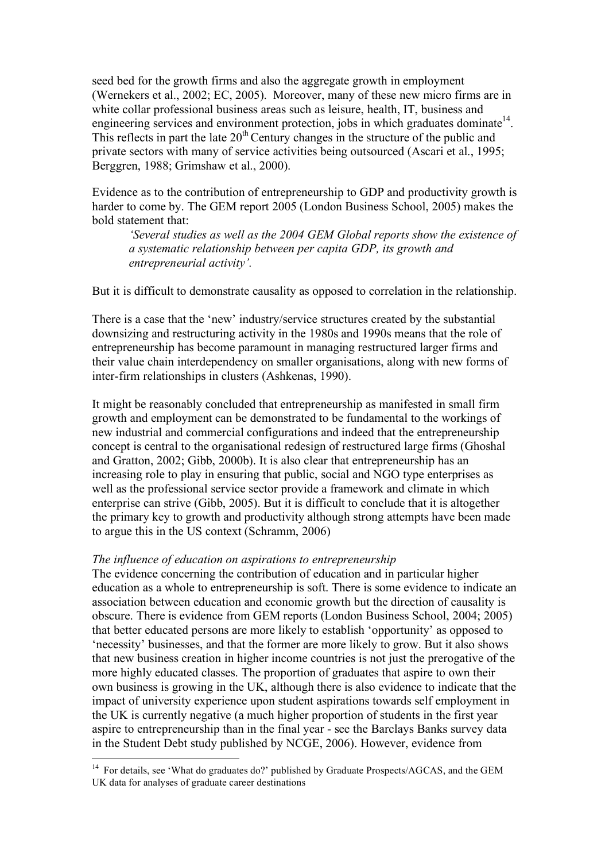seed bed for the growth firms and also the aggregate growth in employment (Wernekers et al., 2002; EC, 2005). Moreover, many of these new micro firms are in white collar professional business areas such as leisure, health, IT, business and engineering services and environment protection, jobs in which graduates dominate<sup>14</sup>. This reflects in part the late  $20<sup>th</sup>$  Century changes in the structure of the public and private sectors with many of service activities being outsourced (Ascari et al., 1995; Berggren, 1988; Grimshaw et al., 2000).

Evidence as to the contribution of entrepreneurship to GDP and productivity growth is harder to come by. The GEM report 2005 (London Business School, 2005) makes the bold statement that:

*'Several studies as well as the 2004 GEM Global reports show the existence of a systematic relationship between per capita GDP, its growth and entrepreneurial activity'.*

But it is difficult to demonstrate causality as opposed to correlation in the relationship.

There is a case that the 'new' industry/service structures created by the substantial downsizing and restructuring activity in the 1980s and 1990s means that the role of entrepreneurship has become paramount in managing restructured larger firms and their value chain interdependency on smaller organisations, along with new forms of inter-firm relationships in clusters (Ashkenas, 1990).

It might be reasonably concluded that entrepreneurship as manifested in small firm growth and employment can be demonstrated to be fundamental to the workings of new industrial and commercial configurations and indeed that the entrepreneurship concept is central to the organisational redesign of restructured large firms (Ghoshal and Gratton, 2002; Gibb, 2000b). It is also clear that entrepreneurship has an increasing role to play in ensuring that public, social and NGO type enterprises as well as the professional service sector provide a framework and climate in which enterprise can strive (Gibb, 2005). But it is difficult to conclude that it is altogether the primary key to growth and productivity although strong attempts have been made to argue this in the US context (Schramm, 2006)

### *The influence of education on aspirations to entrepreneurship*

The evidence concerning the contribution of education and in particular higher education as a whole to entrepreneurship is soft. There is some evidence to indicate an association between education and economic growth but the direction of causality is obscure. There is evidence from GEM reports (London Business School, 2004; 2005) that better educated persons are more likely to establish 'opportunity' as opposed to 'necessity' businesses, and that the former are more likely to grow. But it also shows that new business creation in higher income countries is not just the prerogative of the more highly educated classes. The proportion of graduates that aspire to own their own business is growing in the UK, although there is also evidence to indicate that the impact of university experience upon student aspirations towards self employment in the UK is currently negative (a much higher proportion of students in the first year aspire to entrepreneurship than in the final year - see the Barclays Banks survey data in the Student Debt study published by NCGE, 2006). However, evidence from

<sup>&</sup>lt;sup>14</sup> For details, see 'What do graduates do?' published by Graduate Prospects/AGCAS, and the GEM UK data for analyses of graduate career destinations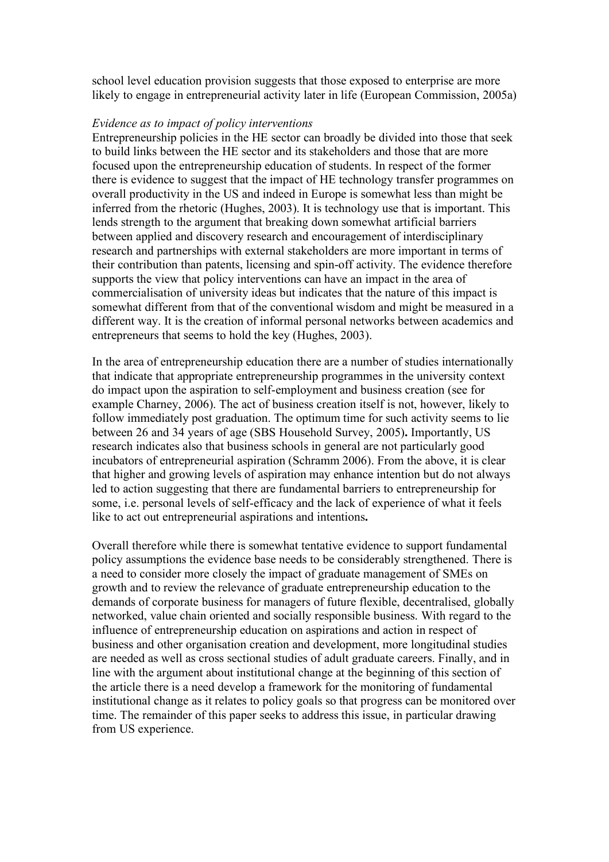school level education provision suggests that those exposed to enterprise are more likely to engage in entrepreneurial activity later in life (European Commission, 2005a)

#### *Evidence as to impact of policy interventions*

Entrepreneurship policies in the HE sector can broadly be divided into those that seek to build links between the HE sector and its stakeholders and those that are more focused upon the entrepreneurship education of students. In respect of the former there is evidence to suggest that the impact of HE technology transfer programmes on overall productivity in the US and indeed in Europe is somewhat less than might be inferred from the rhetoric (Hughes, 2003). It is technology use that is important. This lends strength to the argument that breaking down somewhat artificial barriers between applied and discovery research and encouragement of interdisciplinary research and partnerships with external stakeholders are more important in terms of their contribution than patents, licensing and spin-off activity. The evidence therefore supports the view that policy interventions can have an impact in the area of commercialisation of university ideas but indicates that the nature of this impact is somewhat different from that of the conventional wisdom and might be measured in a different way. It is the creation of informal personal networks between academics and entrepreneurs that seems to hold the key (Hughes, 2003).

In the area of entrepreneurship education there are a number of studies internationally that indicate that appropriate entrepreneurship programmes in the university context do impact upon the aspiration to self-employment and business creation (see for example Charney, 2006). The act of business creation itself is not, however, likely to follow immediately post graduation. The optimum time for such activity seems to lie between 26 and 34 years of age (SBS Household Survey, 2005)**.** Importantly, US research indicates also that business schools in general are not particularly good incubators of entrepreneurial aspiration (Schramm 2006). From the above, it is clear that higher and growing levels of aspiration may enhance intention but do not always led to action suggesting that there are fundamental barriers to entrepreneurship for some, i.e. personal levels of self-efficacy and the lack of experience of what it feels like to act out entrepreneurial aspirations and intentions**.**

Overall therefore while there is somewhat tentative evidence to support fundamental policy assumptions the evidence base needs to be considerably strengthened. There is a need to consider more closely the impact of graduate management of SMEs on growth and to review the relevance of graduate entrepreneurship education to the demands of corporate business for managers of future flexible, decentralised, globally networked, value chain oriented and socially responsible business. With regard to the influence of entrepreneurship education on aspirations and action in respect of business and other organisation creation and development, more longitudinal studies are needed as well as cross sectional studies of adult graduate careers. Finally, and in line with the argument about institutional change at the beginning of this section of the article there is a need develop a framework for the monitoring of fundamental institutional change as it relates to policy goals so that progress can be monitored over time. The remainder of this paper seeks to address this issue, in particular drawing from US experience.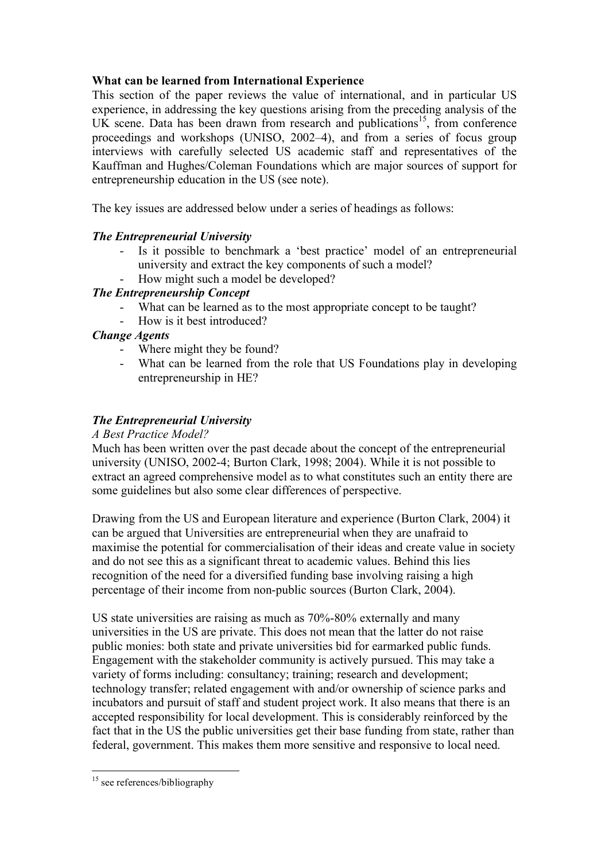# **What can be learned from International Experience**

This section of the paper reviews the value of international, and in particular US experience, in addressing the key questions arising from the preceding analysis of the UK scene. Data has been drawn from research and publications<sup>15</sup>, from conference proceedings and workshops (UNISO, 2002–4), and from a series of focus group interviews with carefully selected US academic staff and representatives of the Kauffman and Hughes/Coleman Foundations which are major sources of support for entrepreneurship education in the US (see note).

The key issues are addressed below under a series of headings as follows:

# *The Entrepreneurial University*

- Is it possible to benchmark a 'best practice' model of an entrepreneurial university and extract the key components of such a model?
- How might such a model be developed?

# *The Entrepreneurship Concept*

- What can be learned as to the most appropriate concept to be taught?
- How is it best introduced?

# *Change Agents*

- Where might they be found?
- What can be learned from the role that US Foundations play in developing entrepreneurship in HE?

# *The Entrepreneurial University*

## *A Best Practice Model?*

Much has been written over the past decade about the concept of the entrepreneurial university (UNISO, 2002-4; Burton Clark, 1998; 2004). While it is not possible to extract an agreed comprehensive model as to what constitutes such an entity there are some guidelines but also some clear differences of perspective.

Drawing from the US and European literature and experience (Burton Clark, 2004) it can be argued that Universities are entrepreneurial when they are unafraid to maximise the potential for commercialisation of their ideas and create value in society and do not see this as a significant threat to academic values. Behind this lies recognition of the need for a diversified funding base involving raising a high percentage of their income from non-public sources (Burton Clark, 2004).

US state universities are raising as much as 70%-80% externally and many universities in the US are private. This does not mean that the latter do not raise public monies: both state and private universities bid for earmarked public funds. Engagement with the stakeholder community is actively pursued. This may take a variety of forms including: consultancy; training; research and development; technology transfer; related engagement with and/or ownership of science parks and incubators and pursuit of staff and student project work. It also means that there is an accepted responsibility for local development. This is considerably reinforced by the fact that in the US the public universities get their base funding from state, rather than federal, government. This makes them more sensitive and responsive to local need.

<sup>&</sup>lt;sup>15</sup> see references/bibliography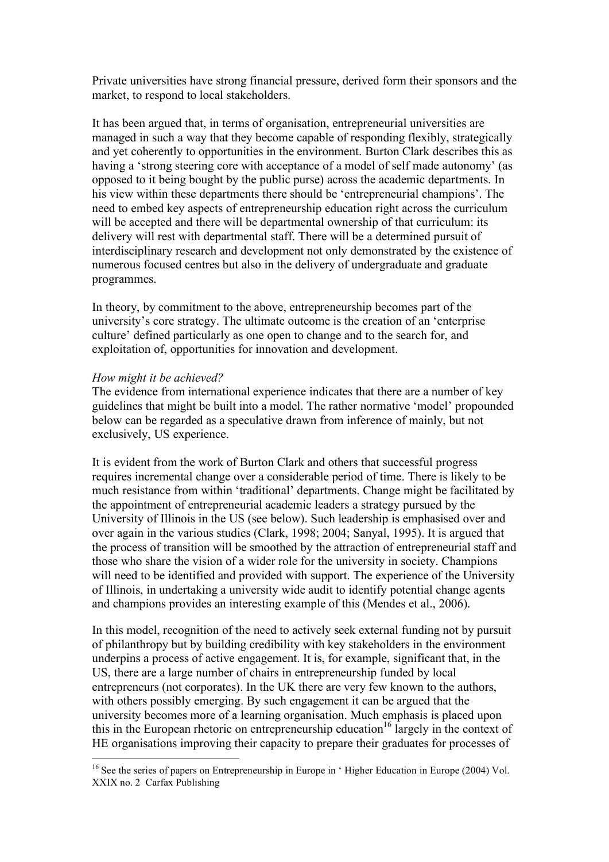Private universities have strong financial pressure, derived form their sponsors and the market, to respond to local stakeholders.

It has been argued that, in terms of organisation, entrepreneurial universities are managed in such a way that they become capable of responding flexibly, strategically and yet coherently to opportunities in the environment. Burton Clark describes this as having a 'strong steering core with acceptance of a model of self made autonomy' (as opposed to it being bought by the public purse) across the academic departments. In his view within these departments there should be 'entrepreneurial champions'. The need to embed key aspects of entrepreneurship education right across the curriculum will be accepted and there will be departmental ownership of that curriculum: its delivery will rest with departmental staff. There will be a determined pursuit of interdisciplinary research and development not only demonstrated by the existence of numerous focused centres but also in the delivery of undergraduate and graduate programmes.

In theory, by commitment to the above, entrepreneurship becomes part of the university's core strategy. The ultimate outcome is the creation of an 'enterprise culture' defined particularly as one open to change and to the search for, and exploitation of, opportunities for innovation and development.

#### *How might it be achieved?*

The evidence from international experience indicates that there are a number of key guidelines that might be built into a model. The rather normative 'model' propounded below can be regarded as a speculative drawn from inference of mainly, but not exclusively, US experience.

It is evident from the work of Burton Clark and others that successful progress requires incremental change over a considerable period of time. There is likely to be much resistance from within 'traditional' departments. Change might be facilitated by the appointment of entrepreneurial academic leaders a strategy pursued by the University of Illinois in the US (see below). Such leadership is emphasised over and over again in the various studies (Clark, 1998; 2004; Sanyal, 1995). It is argued that the process of transition will be smoothed by the attraction of entrepreneurial staff and those who share the vision of a wider role for the university in society. Champions will need to be identified and provided with support. The experience of the University of Illinois, in undertaking a university wide audit to identify potential change agents and champions provides an interesting example of this (Mendes et al., 2006).

In this model, recognition of the need to actively seek external funding not by pursuit of philanthropy but by building credibility with key stakeholders in the environment underpins a process of active engagement. It is, for example, significant that, in the US, there are a large number of chairs in entrepreneurship funded by local entrepreneurs (not corporates). In the UK there are very few known to the authors, with others possibly emerging. By such engagement it can be argued that the university becomes more of a learning organisation. Much emphasis is placed upon this in the European rhetoric on entrepreneurship education<sup>16</sup> largely in the context of HE organisations improving their capacity to prepare their graduates for processes of

<sup>&</sup>lt;sup>16</sup> See the series of papers on Entrepreneurship in Europe in 'Higher Education in Europe (2004) Vol. XXIX no. 2 Carfax Publishing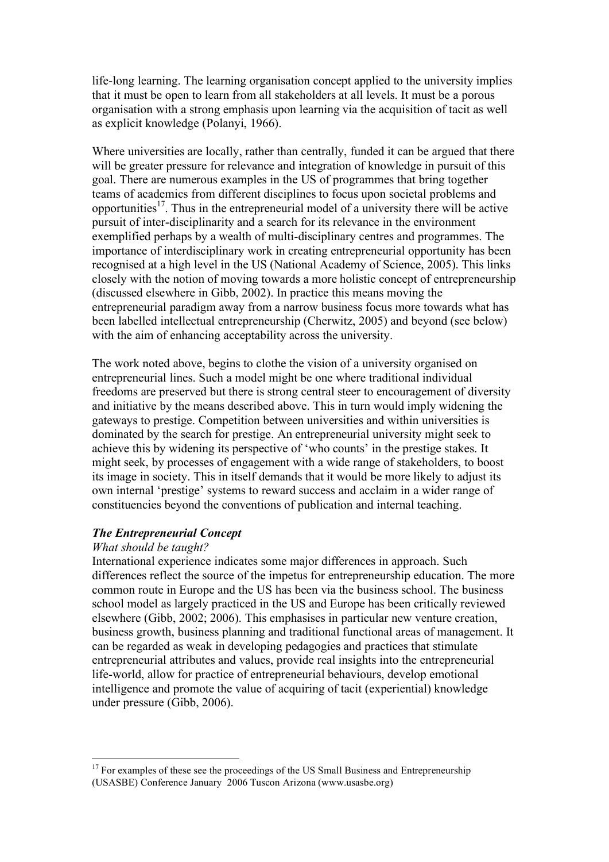life-long learning. The learning organisation concept applied to the university implies that it must be open to learn from all stakeholders at all levels. It must be a porous organisation with a strong emphasis upon learning via the acquisition of tacit as well as explicit knowledge (Polanyi, 1966).

Where universities are locally, rather than centrally, funded it can be argued that there will be greater pressure for relevance and integration of knowledge in pursuit of this goal. There are numerous examples in the US of programmes that bring together teams of academics from different disciplines to focus upon societal problems and opportunities<sup>17</sup>. Thus in the entrepreneurial model of a university there will be active pursuit of inter-disciplinarity and a search for its relevance in the environment exemplified perhaps by a wealth of multi-disciplinary centres and programmes. The importance of interdisciplinary work in creating entrepreneurial opportunity has been recognised at a high level in the US (National Academy of Science, 2005). This links closely with the notion of moving towards a more holistic concept of entrepreneurship (discussed elsewhere in Gibb, 2002). In practice this means moving the entrepreneurial paradigm away from a narrow business focus more towards what has been labelled intellectual entrepreneurship (Cherwitz, 2005) and beyond (see below) with the aim of enhancing acceptability across the university.

The work noted above, begins to clothe the vision of a university organised on entrepreneurial lines. Such a model might be one where traditional individual freedoms are preserved but there is strong central steer to encouragement of diversity and initiative by the means described above. This in turn would imply widening the gateways to prestige. Competition between universities and within universities is dominated by the search for prestige. An entrepreneurial university might seek to achieve this by widening its perspective of 'who counts' in the prestige stakes. It might seek, by processes of engagement with a wide range of stakeholders, to boost its image in society. This in itself demands that it would be more likely to adjust its own internal 'prestige' systems to reward success and acclaim in a wider range of constituencies beyond the conventions of publication and internal teaching.

## *The Entrepreneurial Concept*

#### *What should be taught?*

International experience indicates some major differences in approach. Such differences reflect the source of the impetus for entrepreneurship education. The more common route in Europe and the US has been via the business school. The business school model as largely practiced in the US and Europe has been critically reviewed elsewhere (Gibb, 2002; 2006). This emphasises in particular new venture creation, business growth, business planning and traditional functional areas of management. It can be regarded as weak in developing pedagogies and practices that stimulate entrepreneurial attributes and values, provide real insights into the entrepreneurial life-world, allow for practice of entrepreneurial behaviours, develop emotional intelligence and promote the value of acquiring of tacit (experiential) knowledge under pressure (Gibb, 2006).

 $17$  For examples of these see the proceedings of the US Small Business and Entrepreneurship (USASBE) Conference January 2006 Tuscon Arizona (www.usasbe.org)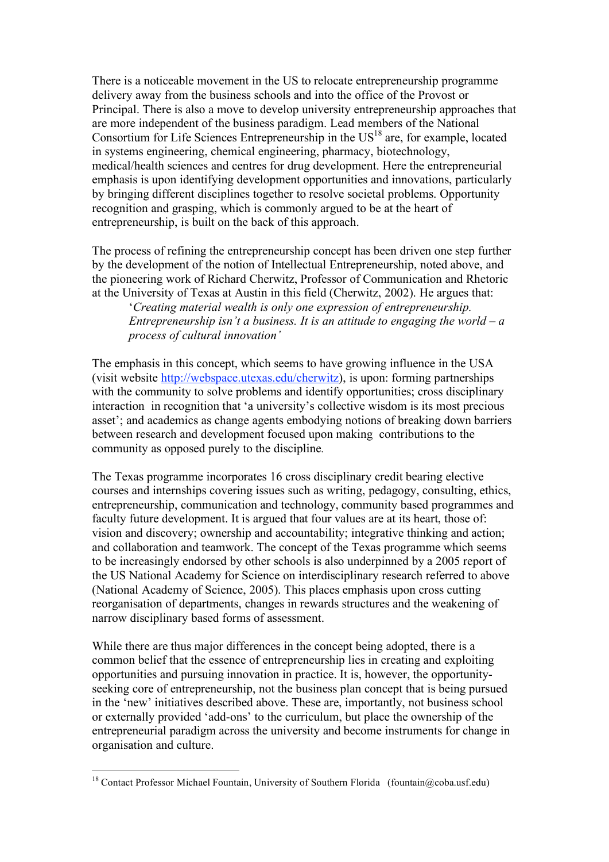There is a noticeable movement in the US to relocate entrepreneurship programme delivery away from the business schools and into the office of the Provost or Principal. There is also a move to develop university entrepreneurship approaches that are more independent of the business paradigm. Lead members of the National Consortium for Life Sciences Entrepreneurship in the US<sup>18</sup> are, for example, located in systems engineering, chemical engineering, pharmacy, biotechnology, medical/health sciences and centres for drug development. Here the entrepreneurial emphasis is upon identifying development opportunities and innovations, particularly by bringing different disciplines together to resolve societal problems. Opportunity recognition and grasping, which is commonly argued to be at the heart of entrepreneurship, is built on the back of this approach.

The process of refining the entrepreneurship concept has been driven one step further by the development of the notion of Intellectual Entrepreneurship, noted above, and the pioneering work of Richard Cherwitz, Professor of Communication and Rhetoric at the University of Texas at Austin in this field (Cherwitz, 2002). He argues that:

'*Creating material wealth is only one expression of entrepreneurship. Entrepreneurship isn't a business. It is an attitude to engaging the world – a process of cultural innovation'*

The emphasis in this concept, which seems to have growing influence in the USA (visit website http://webspace.utexas.edu/cherwitz), is upon: forming partnerships with the community to solve problems and identify opportunities; cross disciplinary interaction in recognition that 'a university's collective wisdom is its most precious asset'; and academics as change agents embodying notions of breaking down barriers between research and development focused upon making contributions to the community as opposed purely to the discipline*.*

The Texas programme incorporates 16 cross disciplinary credit bearing elective courses and internships covering issues such as writing, pedagogy, consulting, ethics, entrepreneurship, communication and technology, community based programmes and faculty future development. It is argued that four values are at its heart, those of: vision and discovery; ownership and accountability; integrative thinking and action; and collaboration and teamwork. The concept of the Texas programme which seems to be increasingly endorsed by other schools is also underpinned by a 2005 report of the US National Academy for Science on interdisciplinary research referred to above (National Academy of Science, 2005). This places emphasis upon cross cutting reorganisation of departments, changes in rewards structures and the weakening of narrow disciplinary based forms of assessment.

While there are thus major differences in the concept being adopted, there is a common belief that the essence of entrepreneurship lies in creating and exploiting opportunities and pursuing innovation in practice. It is, however, the opportunityseeking core of entrepreneurship, not the business plan concept that is being pursued in the 'new' initiatives described above. These are, importantly, not business school or externally provided 'add-ons' to the curriculum, but place the ownership of the entrepreneurial paradigm across the university and become instruments for change in organisation and culture.

<sup>&</sup>lt;sup>18</sup> Contact Professor Michael Fountain, University of Southern Florida (fountain@coba.usf.edu)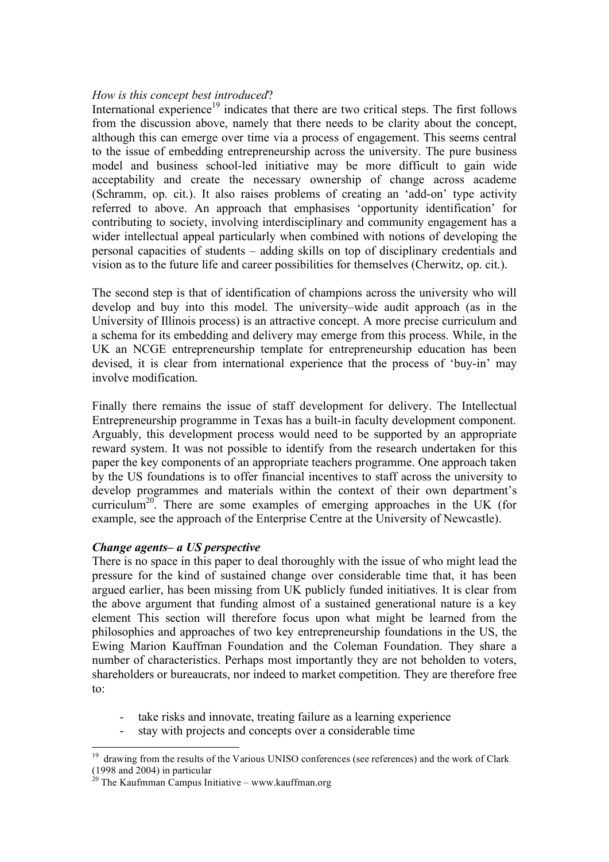### *How is this concept best introduced*?

International experience<sup>19</sup> indicates that there are two critical steps. The first follows from the discussion above, namely that there needs to be clarity about the concept, although this can emerge over time via a process of engagement. This seems central to the issue of embedding entrepreneurship across the university. The pure business model and business school-led initiative may be more difficult to gain wide acceptability and create the necessary ownership of change across academe (Schramm, op. cit.). It also raises problems of creating an 'add-on' type activity referred to above. An approach that emphasises 'opportunity identification' for contributing to society, involving interdisciplinary and community engagement has a wider intellectual appeal particularly when combined with notions of developing the personal capacities of students – adding skills on top of disciplinary credentials and vision as to the future life and career possibilities for themselves (Cherwitz, op. cit.).

The second step is that of identification of champions across the university who will develop and buy into this model. The university–wide audit approach (as in the University of Illinois process) is an attractive concept. A more precise curriculum and a schema for its embedding and delivery may emerge from this process. While, in the UK an NCGE entrepreneurship template for entrepreneurship education has been devised, it is clear from international experience that the process of 'buy-in' may involve modification.

Finally there remains the issue of staff development for delivery. The Intellectual Entrepreneurship programme in Texas has a built-in faculty development component. Arguably, this development process would need to be supported by an appropriate reward system. It was not possible to identify from the research undertaken for this paper the key components of an appropriate teachers programme. One approach taken by the US foundations is to offer financial incentives to staff across the university to develop programmes and materials within the context of their own department's curriculum<sup>20</sup>. There are some examples of emerging approaches in the UK (for example, see the approach of the Enterprise Centre at the University of Newcastle).

### *Change agents– a US perspective*

There is no space in this paper to deal thoroughly with the issue of who might lead the pressure for the kind of sustained change over considerable time that, it has been argued earlier, has been missing from UK publicly funded initiatives. It is clear from the above argument that funding almost of a sustained generational nature is a key element This section will therefore focus upon what might be learned from the philosophies and approaches of two key entrepreneurship foundations in the US, the Ewing Marion Kauffman Foundation and the Coleman Foundation. They share a number of characteristics. Perhaps most importantly they are not beholden to voters, shareholders or bureaucrats, nor indeed to market competition. They are therefore free to:

- take risks and innovate, treating failure as a learning experience
- stay with projects and concepts over a considerable time

<sup>&</sup>lt;sup>19</sup> drawing from the results of the Various UNISO conferences (see references) and the work of Clark (1998 and 2004) in particular

 $\frac{20}{20}$  The Kaufmman Campus Initiative – www.kauffman.org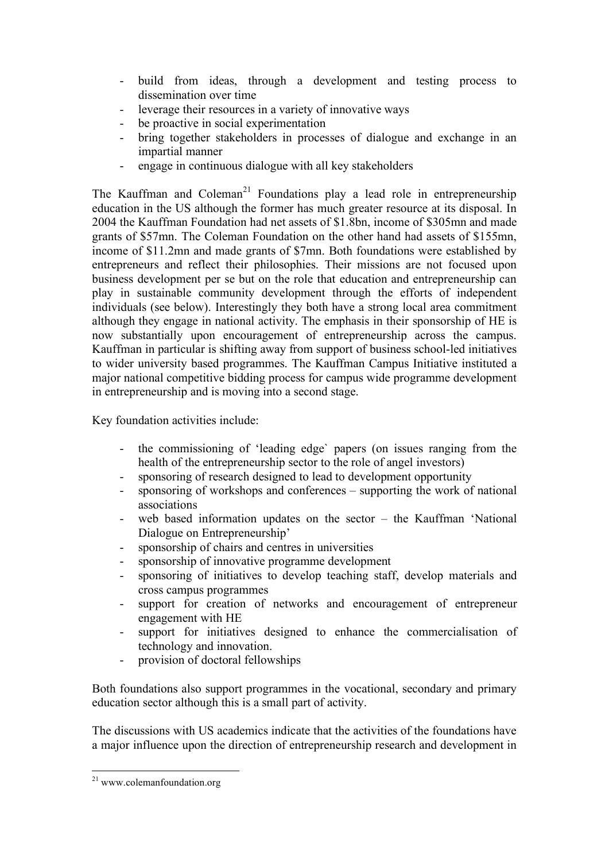- build from ideas, through a development and testing process to dissemination over time
- leverage their resources in a variety of innovative ways
- be proactive in social experimentation
- bring together stakeholders in processes of dialogue and exchange in an impartial manner
- engage in continuous dialogue with all key stakeholders

The Kauffman and Coleman<sup>21</sup> Foundations play a lead role in entrepreneurship education in the US although the former has much greater resource at its disposal. In 2004 the Kauffman Foundation had net assets of \$1.8bn, income of \$305mn and made grants of \$57mn. The Coleman Foundation on the other hand had assets of \$155mn, income of \$11.2mn and made grants of \$7mn. Both foundations were established by entrepreneurs and reflect their philosophies. Their missions are not focused upon business development per se but on the role that education and entrepreneurship can play in sustainable community development through the efforts of independent individuals (see below). Interestingly they both have a strong local area commitment although they engage in national activity. The emphasis in their sponsorship of HE is now substantially upon encouragement of entrepreneurship across the campus. Kauffman in particular is shifting away from support of business school-led initiatives to wider university based programmes. The Kauffman Campus Initiative instituted a major national competitive bidding process for campus wide programme development in entrepreneurship and is moving into a second stage.

Key foundation activities include:

- the commissioning of 'leading edge` papers (on issues ranging from the health of the entrepreneurship sector to the role of angel investors)
- sponsoring of research designed to lead to development opportunity
- sponsoring of workshops and conferences supporting the work of national associations
- web based information updates on the sector  $-$  the Kauffman 'National Dialogue on Entrepreneurship'
- sponsorship of chairs and centres in universities
- sponsorship of innovative programme development
- sponsoring of initiatives to develop teaching staff, develop materials and cross campus programmes
- support for creation of networks and encouragement of entrepreneur engagement with HE
- support for initiatives designed to enhance the commercialisation of technology and innovation.
- provision of doctoral fellowships

Both foundations also support programmes in the vocational, secondary and primary education sector although this is a small part of activity.

The discussions with US academics indicate that the activities of the foundations have a major influence upon the direction of entrepreneurship research and development in

 $^{21}$  www.colemanfoundation.org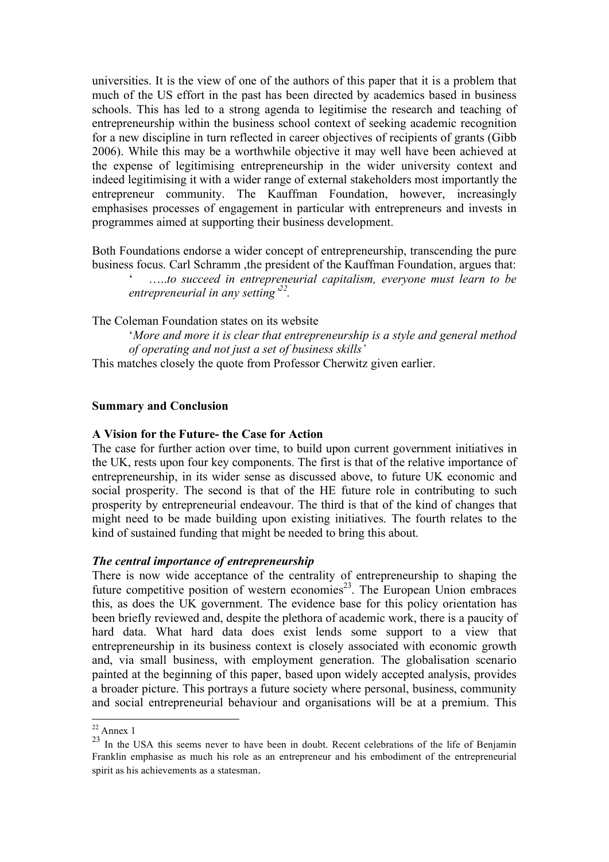universities. It is the view of one of the authors of this paper that it is a problem that much of the US effort in the past has been directed by academics based in business schools. This has led to a strong agenda to legitimise the research and teaching of entrepreneurship within the business school context of seeking academic recognition for a new discipline in turn reflected in career objectives of recipients of grants (Gibb 2006). While this may be a worthwhile objective it may well have been achieved at the expense of legitimising entrepreneurship in the wider university context and indeed legitimising it with a wider range of external stakeholders most importantly the entrepreneur community. The Kauffman Foundation, however, increasingly emphasises processes of engagement in particular with entrepreneurs and invests in programmes aimed at supporting their business development.

Both Foundations endorse a wider concept of entrepreneurship, transcending the pure business focus. Carl Schramm ,the president of the Kauffman Foundation, argues that: ' …..*to succeed in entrepreneurial capitalism, everyone must learn to be entrepreneurial in any setting'22 .*

The Coleman Foundation states on its website

'*More and more it is clear that entrepreneurship is a style and general method of operating and not just a set of business skills'*

This matches closely the quote from Professor Cherwitz given earlier.

#### **Summary and Conclusion**

#### **A Vision for the Future- the Case for Action**

The case for further action over time, to build upon current government initiatives in the UK, rests upon four key components. The first is that of the relative importance of entrepreneurship, in its wider sense as discussed above, to future UK economic and social prosperity. The second is that of the HE future role in contributing to such prosperity by entrepreneurial endeavour. The third is that of the kind of changes that might need to be made building upon existing initiatives. The fourth relates to the kind of sustained funding that might be needed to bring this about.

#### *The central importance of entrepreneurship*

There is now wide acceptance of the centrality of entrepreneurship to shaping the future competitive position of western economies<sup>23</sup>. The European Union embraces this, as does the UK government. The evidence base for this policy orientation has been briefly reviewed and, despite the plethora of academic work, there is a paucity of hard data. What hard data does exist lends some support to a view that entrepreneurship in its business context is closely associated with economic growth and, via small business, with employment generation. The globalisation scenario painted at the beginning of this paper, based upon widely accepted analysis, provides a broader picture. This portrays a future society where personal, business, community and social entrepreneurial behaviour and organisations will be at a premium. This

 $22$  Annex 1

<sup>&</sup>lt;sup>23</sup> In the USA this seems never to have been in doubt. Recent celebrations of the life of Benjamin Franklin emphasise as much his role as an entrepreneur and his embodiment of the entrepreneurial spirit as his achievements as a statesman.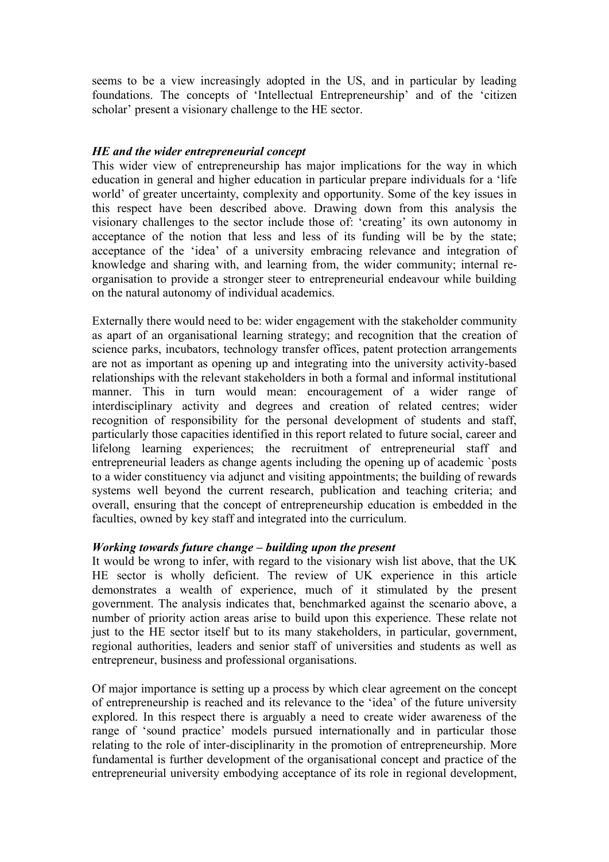seems to be a view increasingly adopted in the US, and in particular by leading foundations. The concepts of 'Intellectual Entrepreneurship' and of the 'citizen scholar' present a visionary challenge to the HE sector.

### *HE and the wider entrepreneurial concept*

This wider view of entrepreneurship has major implications for the way in which education in general and higher education in particular prepare individuals for a 'life world' of greater uncertainty, complexity and opportunity. Some of the key issues in this respect have been described above. Drawing down from this analysis the visionary challenges to the sector include those of: 'creating' its own autonomy in acceptance of the notion that less and less of its funding will be by the state; acceptance of the 'idea' of a university embracing relevance and integration of knowledge and sharing with, and learning from, the wider community; internal reorganisation to provide a stronger steer to entrepreneurial endeavour while building on the natural autonomy of individual academics.

Externally there would need to be: wider engagement with the stakeholder community as apart of an organisational learning strategy; and recognition that the creation of science parks, incubators, technology transfer offices, patent protection arrangements are not as important as opening up and integrating into the university activity-based relationships with the relevant stakeholders in both a formal and informal institutional manner. This in turn would mean: encouragement of a wider range of interdisciplinary activity and degrees and creation of related centres; wider recognition of responsibility for the personal development of students and staff, particularly those capacities identified in this report related to future social, career and lifelong learning experiences; the recruitment of entrepreneurial staff and entrepreneurial leaders as change agents including the opening up of academic `posts to a wider constituency via adjunct and visiting appointments; the building of rewards systems well beyond the current research, publication and teaching criteria; and overall, ensuring that the concept of entrepreneurship education is embedded in the faculties, owned by key staff and integrated into the curriculum.

### *Working towards future change – building upon the present*

It would be wrong to infer, with regard to the visionary wish list above, that the UK HE sector is wholly deficient. The review of UK experience in this article demonstrates a wealth of experience, much of it stimulated by the present government. The analysis indicates that, benchmarked against the scenario above, a number of priority action areas arise to build upon this experience. These relate not just to the HE sector itself but to its many stakeholders, in particular, government, regional authorities, leaders and senior staff of universities and students as well as entrepreneur, business and professional organisations.

Of major importance is setting up a process by which clear agreement on the concept of entrepreneurship is reached and its relevance to the 'idea' of the future university explored. In this respect there is arguably a need to create wider awareness of the range of 'sound practice' models pursued internationally and in particular those relating to the role of inter-disciplinarity in the promotion of entrepreneurship. More fundamental is further development of the organisational concept and practice of the entrepreneurial university embodying acceptance of its role in regional development,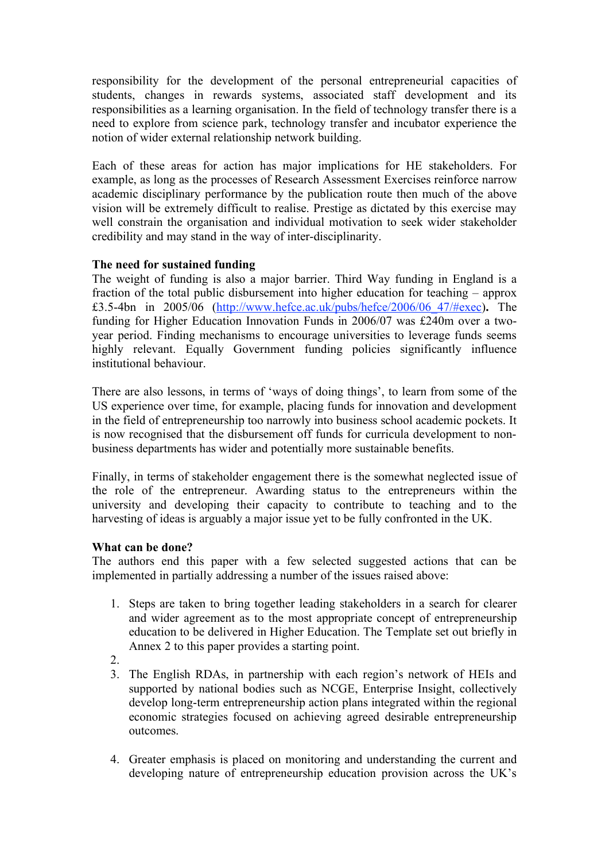responsibility for the development of the personal entrepreneurial capacities of students, changes in rewards systems, associated staff development and its responsibilities as a learning organisation. In the field of technology transfer there is a need to explore from science park, technology transfer and incubator experience the notion of wider external relationship network building.

Each of these areas for action has major implications for HE stakeholders. For example, as long as the processes of Research Assessment Exercises reinforce narrow academic disciplinary performance by the publication route then much of the above vision will be extremely difficult to realise. Prestige as dictated by this exercise may well constrain the organisation and individual motivation to seek wider stakeholder credibility and may stand in the way of inter-disciplinarity.

## **The need for sustained funding**

The weight of funding is also a major barrier. Third Way funding in England is a fraction of the total public disbursement into higher education for teaching – approx £3.5-4bn in 2005/06 (http://www.hefce.ac.uk/pubs/hefce/2006/06\_47/#exec)**.** The funding for Higher Education Innovation Funds in 2006/07 was £240m over a twoyear period. Finding mechanisms to encourage universities to leverage funds seems highly relevant. Equally Government funding policies significantly influence institutional behaviour.

There are also lessons, in terms of 'ways of doing things', to learn from some of the US experience over time, for example, placing funds for innovation and development in the field of entrepreneurship too narrowly into business school academic pockets. It is now recognised that the disbursement off funds for curricula development to nonbusiness departments has wider and potentially more sustainable benefits.

Finally, in terms of stakeholder engagement there is the somewhat neglected issue of the role of the entrepreneur. Awarding status to the entrepreneurs within the university and developing their capacity to contribute to teaching and to the harvesting of ideas is arguably a major issue yet to be fully confronted in the UK.

# **What can be done?**

The authors end this paper with a few selected suggested actions that can be implemented in partially addressing a number of the issues raised above:

- 1. Steps are taken to bring together leading stakeholders in a search for clearer and wider agreement as to the most appropriate concept of entrepreneurship education to be delivered in Higher Education. The Template set out briefly in Annex 2 to this paper provides a starting point.
- 2.
- 3. The English RDAs, in partnership with each region's network of HEIs and supported by national bodies such as NCGE, Enterprise Insight, collectively develop long-term entrepreneurship action plans integrated within the regional economic strategies focused on achieving agreed desirable entrepreneurship outcomes.
- 4. Greater emphasis is placed on monitoring and understanding the current and developing nature of entrepreneurship education provision across the UK's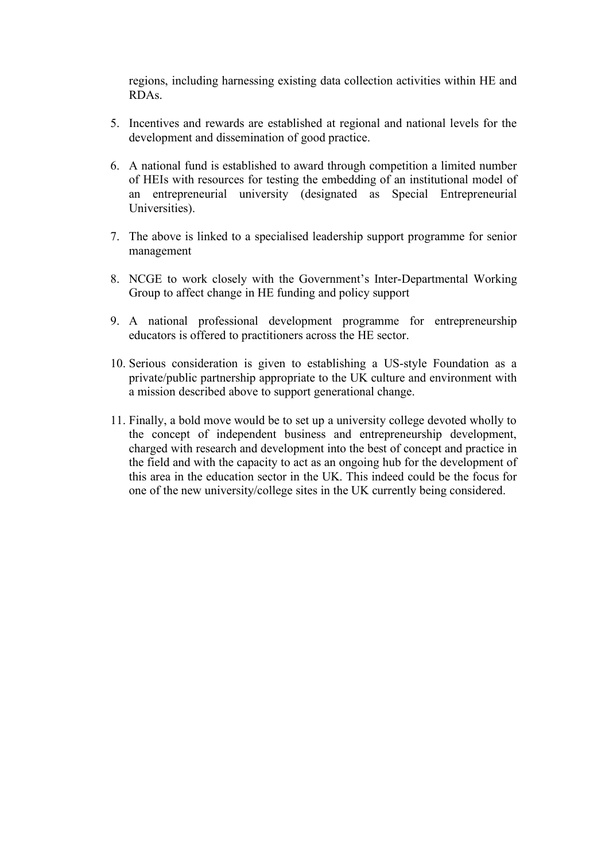regions, including harnessing existing data collection activities within HE and RDAs.

- 5. Incentives and rewards are established at regional and national levels for the development and dissemination of good practice.
- 6. A national fund is established to award through competition a limited number of HEIs with resources for testing the embedding of an institutional model of an entrepreneurial university (designated as Special Entrepreneurial Universities).
- 7. The above is linked to a specialised leadership support programme for senior management
- 8. NCGE to work closely with the Government's Inter-Departmental Working Group to affect change in HE funding and policy support
- 9. A national professional development programme for entrepreneurship educators is offered to practitioners across the HE sector.
- 10. Serious consideration is given to establishing a US-style Foundation as a private/public partnership appropriate to the UK culture and environment with a mission described above to support generational change.
- 11. Finally, a bold move would be to set up a university college devoted wholly to the concept of independent business and entrepreneurship development, charged with research and development into the best of concept and practice in the field and with the capacity to act as an ongoing hub for the development of this area in the education sector in the UK. This indeed could be the focus for one of the new university/college sites in the UK currently being considered.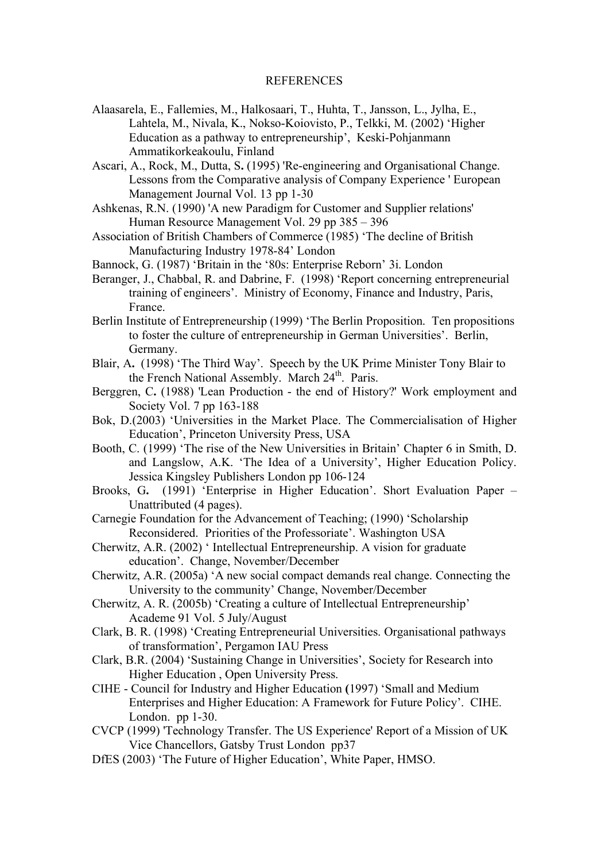#### REFERENCES

- Alaasarela, E., Fallemies, M., Halkosaari, T., Huhta, T., Jansson, L., Jylha, E., Lahtela, M., Nivala, K., Nokso-Koiovisto, P., Telkki, M. (2002) 'Higher Education as a pathway to entrepreneurship', Keski-Pohjanmann Ammatikorkeakoulu, Finland
- Ascari, A., Rock, M., Dutta, S**.** (1995) 'Re-engineering and Organisational Change. Lessons from the Comparative analysis of Company Experience ' European Management Journal Vol. 13 pp 1-30
- Ashkenas, R.N. (1990) 'A new Paradigm for Customer and Supplier relations' Human Resource Management Vol. 29 pp 385 – 396
- Association of British Chambers of Commerce (1985) 'The decline of British Manufacturing Industry 1978-84' London
- Bannock, G. (1987) 'Britain in the '80s: Enterprise Reborn' 3i. London
- Beranger, J., Chabbal, R. and Dabrine, F. (1998) 'Report concerning entrepreneurial training of engineers'. Ministry of Economy, Finance and Industry, Paris, France.
- Berlin Institute of Entrepreneurship (1999) 'The Berlin Proposition. Ten propositions to foster the culture of entrepreneurship in German Universities'. Berlin, Germany.
- Blair, A**.** (1998) 'The Third Way'. Speech by the UK Prime Minister Tony Blair to the French National Assembly. March 24<sup>th</sup>. Paris.
- Berggren, C**.** (1988) 'Lean Production the end of History?' Work employment and Society Vol. 7 pp 163-188
- Bok, D.(2003) 'Universities in the Market Place. The Commercialisation of Higher Education', Princeton University Press, USA
- Booth, C. (1999) 'The rise of the New Universities in Britain' Chapter 6 in Smith, D. and Langslow, A.K. 'The Idea of a University', Higher Education Policy. Jessica Kingsley Publishers London pp 106-124
- Brooks, G**.** (1991) 'Enterprise in Higher Education'. Short Evaluation Paper Unattributed (4 pages).
- Carnegie Foundation for the Advancement of Teaching; (1990) 'Scholarship Reconsidered. Priorities of the Professoriate'. Washington USA
- Cherwitz, A.R. (2002) ' Intellectual Entrepreneurship. A vision for graduate education'. Change, November/December
- Cherwitz, A.R. (2005a) 'A new social compact demands real change. Connecting the University to the community' Change, November/December
- Cherwitz, A. R. (2005b) 'Creating a culture of Intellectual Entrepreneurship' Academe 91 Vol. 5 July/August
- Clark, B. R. (1998) 'Creating Entrepreneurial Universities. Organisational pathways of transformation', Pergamon IAU Press
- Clark, B.R. (2004) 'Sustaining Change in Universities', Society for Research into Higher Education , Open University Press.
- CIHE Council for Industry and Higher Education **(**1997) 'Small and Medium Enterprises and Higher Education: A Framework for Future Policy'. CIHE. London. pp 1-30.
- CVCP (1999) 'Technology Transfer. The US Experience' Report of a Mission of UK Vice Chancellors, Gatsby Trust London pp37
- DfES (2003) 'The Future of Higher Education', White Paper, HMSO.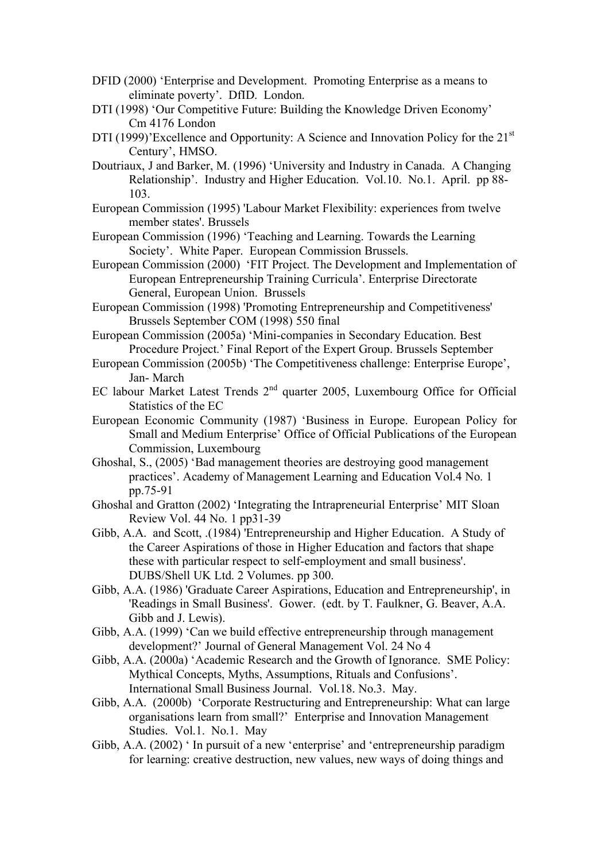- DFID (2000) 'Enterprise and Development. Promoting Enterprise as a means to eliminate poverty'. DfID. London.
- DTI (1998) 'Our Competitive Future: Building the Knowledge Driven Economy' Cm 4176 London
- DTI (1999)'Excellence and Opportunity: A Science and Innovation Policy for the 21<sup>st</sup> Century', HMSO.
- Doutriaux, J and Barker, M. (1996) 'University and Industry in Canada. A Changing Relationship'. Industry and Higher Education. Vol.10. No.1. April. pp 88- 103.
- European Commission (1995) 'Labour Market Flexibility: experiences from twelve member states'. Brussels
- European Commission (1996) 'Teaching and Learning. Towards the Learning Society'. White Paper. European Commission Brussels.
- European Commission (2000) 'FIT Project. The Development and Implementation of European Entrepreneurship Training Curricula'. Enterprise Directorate General, European Union. Brussels
- European Commission (1998) 'Promoting Entrepreneurship and Competitiveness' Brussels September COM (1998) 550 final
- European Commission (2005a) 'Mini-companies in Secondary Education. Best Procedure Project.' Final Report of the Expert Group. Brussels September
- European Commission (2005b) 'The Competitiveness challenge: Enterprise Europe', Jan- March
- EC labour Market Latest Trends 2<sup>nd</sup> quarter 2005, Luxembourg Office for Official Statistics of the EC
- European Economic Community (1987) 'Business in Europe. European Policy for Small and Medium Enterprise' Office of Official Publications of the European Commission, Luxembourg
- Ghoshal, S., (2005) 'Bad management theories are destroying good management practices'. Academy of Management Learning and Education Vol.4 No. 1 pp.75-91
- Ghoshal and Gratton (2002) 'Integrating the Intrapreneurial Enterprise' MIT Sloan Review Vol. 44 No. 1 pp31-39
- Gibb, A.A. and Scott, .(1984) 'Entrepreneurship and Higher Education. A Study of the Career Aspirations of those in Higher Education and factors that shape these with particular respect to self-employment and small business'. DUBS/Shell UK Ltd. 2 Volumes. pp 300.
- Gibb, A.A. (1986) 'Graduate Career Aspirations, Education and Entrepreneurship', in 'Readings in Small Business'. Gower. (edt. by T. Faulkner, G. Beaver, A.A. Gibb and J. Lewis).
- Gibb, A.A. (1999) 'Can we build effective entrepreneurship through management development?' Journal of General Management Vol. 24 No 4
- Gibb, A.A. (2000a) 'Academic Research and the Growth of Ignorance. SME Policy: Mythical Concepts, Myths, Assumptions, Rituals and Confusions'. International Small Business Journal. Vol.18. No.3. May.
- Gibb, A.A. (2000b) 'Corporate Restructuring and Entrepreneurship: What can large organisations learn from small?' Enterprise and Innovation Management Studies. Vol.1. No.1. May
- Gibb, A.A. (2002) ' In pursuit of a new 'enterprise' and 'entrepreneurship paradigm for learning: creative destruction, new values, new ways of doing things and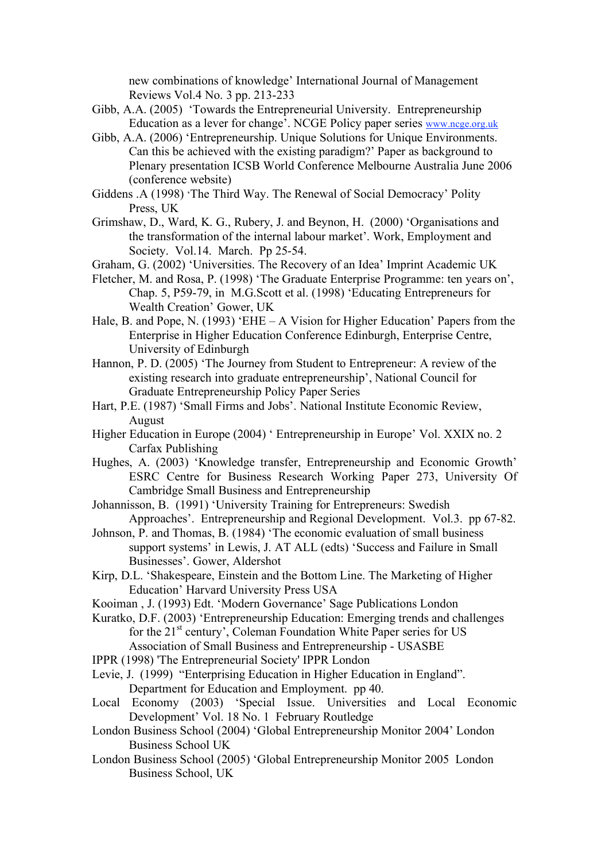new combinations of knowledge' International Journal of Management Reviews Vol.4 No. 3 pp. 213-233

- Gibb, A.A. (2005) 'Towards the Entrepreneurial University. Entrepreneurship Education as a lever for change'. NCGE Policy paper series www.ncge.org.uk
- Gibb, A.A. (2006) 'Entrepreneurship. Unique Solutions for Unique Environments. Can this be achieved with the existing paradigm?' Paper as background to Plenary presentation ICSB World Conference Melbourne Australia June 2006 (conference website)
- Giddens .A (1998) 'The Third Way. The Renewal of Social Democracy' Polity Press, UK
- Grimshaw, D., Ward, K. G., Rubery, J. and Beynon, H. (2000) 'Organisations and the transformation of the internal labour market'. Work, Employment and Society. Vol.14. March. Pp 25-54.
- Graham, G. (2002) 'Universities. The Recovery of an Idea' Imprint Academic UK
- Fletcher, M. and Rosa, P. (1998) 'The Graduate Enterprise Programme: ten years on', Chap. 5, P59-79, in M.G.Scott et al. (1998) 'Educating Entrepreneurs for Wealth Creation' Gower, UK
- Hale, B. and Pope, N. (1993) 'EHE A Vision for Higher Education' Papers from the Enterprise in Higher Education Conference Edinburgh, Enterprise Centre, University of Edinburgh
- Hannon, P. D. (2005) 'The Journey from Student to Entrepreneur: A review of the existing research into graduate entrepreneurship', National Council for Graduate Entrepreneurship Policy Paper Series
- Hart, P.E. (1987) 'Small Firms and Jobs'. National Institute Economic Review, August
- Higher Education in Europe (2004) ' Entrepreneurship in Europe' Vol. XXIX no. 2 Carfax Publishing
- Hughes, A. (2003) 'Knowledge transfer, Entrepreneurship and Economic Growth' ESRC Centre for Business Research Working Paper 273, University Of Cambridge Small Business and Entrepreneurship
- Johannisson, B. (1991) 'University Training for Entrepreneurs: Swedish Approaches'. Entrepreneurship and Regional Development. Vol.3. pp 67-82.
- Johnson, P. and Thomas, B. (1984) 'The economic evaluation of small business support systems' in Lewis, J. AT ALL (edts) 'Success and Failure in Small Businesses'. Gower, Aldershot
- Kirp, D.L. 'Shakespeare, Einstein and the Bottom Line. The Marketing of Higher Education' Harvard University Press USA
- Kooiman , J. (1993) Edt. 'Modern Governance' Sage Publications London
- Kuratko, D.F. (2003) 'Entrepreneurship Education: Emerging trends and challenges for the 21<sup>st</sup> century', Coleman Foundation White Paper series for US Association of Small Business and Entrepreneurship - USASBE
- IPPR (1998) 'The Entrepreneurial Society' IPPR London
- Levie, J. (1999) "Enterprising Education in Higher Education in England". Department for Education and Employment. pp 40.
- Local Economy (2003) 'Special Issue. Universities and Local Economic Development' Vol. 18 No. 1 February Routledge
- London Business School (2004) 'Global Entrepreneurship Monitor 2004' London Business School UK
- London Business School (2005) 'Global Entrepreneurship Monitor 2005 London Business School, UK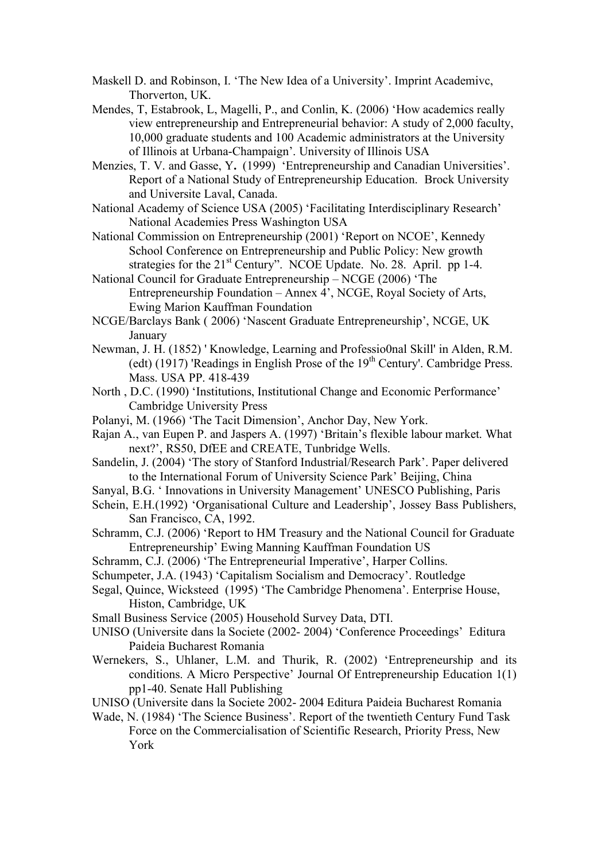- Maskell D. and Robinson, I. 'The New Idea of a University'. Imprint Academivc, Thorverton, UK.
- Mendes, T, Estabrook, L, Magelli, P., and Conlin, K. (2006) 'How academics really view entrepreneurship and Entrepreneurial behavior: A study of 2,000 faculty, 10,000 graduate students and 100 Academic administrators at the University of Illinois at Urbana-Champaign'. University of Illinois USA
- Menzies, T. V. and Gasse, Y**.** (1999) 'Entrepreneurship and Canadian Universities'. Report of a National Study of Entrepreneurship Education. Brock University and Universite Laval, Canada.
- National Academy of Science USA (2005) 'Facilitating Interdisciplinary Research' National Academies Press Washington USA
- National Commission on Entrepreneurship (2001) 'Report on NCOE', Kennedy School Conference on Entrepreneurship and Public Policy: New growth strategies for the 21<sup>st</sup> Century". NCOE Update. No. 28. April. pp 1-4.
- National Council for Graduate Entrepreneurship NCGE (2006) 'The Entrepreneurship Foundation – Annex 4', NCGE, Royal Society of Arts, Ewing Marion Kauffman Foundation
- NCGE/Barclays Bank ( 2006) 'Nascent Graduate Entrepreneurship', NCGE, UK January
- Newman, J. H. (1852) ' Knowledge, Learning and Professio0nal Skill' in Alden, R.M. (edt) (1917) 'Readings in English Prose of the  $19<sup>th</sup>$  Century'. Cambridge Press. Mass. USA PP. 418-439
- North , D.C. (1990) 'Institutions, Institutional Change and Economic Performance' Cambridge University Press
- Polanyi, M. (1966) 'The Tacit Dimension', Anchor Day, New York.
- Rajan A., van Eupen P. and Jaspers A. (1997) 'Britain's flexible labour market. What next?', RS50, DfEE and CREATE, Tunbridge Wells.
- Sandelin, J. (2004) 'The story of Stanford Industrial/Research Park'. Paper delivered to the International Forum of University Science Park' Beijing, China
- Sanyal, B.G. ' Innovations in University Management' UNESCO Publishing, Paris
- Schein, E.H.(1992) 'Organisational Culture and Leadership', Jossey Bass Publishers, San Francisco, CA, 1992.
- Schramm, C.J. (2006) 'Report to HM Treasury and the National Council for Graduate Entrepreneurship' Ewing Manning Kauffman Foundation US
- Schramm, C.J. (2006) 'The Entrepreneurial Imperative', Harper Collins.
- Schumpeter, J.A. (1943) 'Capitalism Socialism and Democracy'. Routledge
- Segal, Quince, Wicksteed (1995) 'The Cambridge Phenomena'. Enterprise House, Histon, Cambridge, UK
- Small Business Service (2005) Household Survey Data, DTI.
- UNISO (Universite dans la Societe (2002- 2004) 'Conference Proceedings' Editura Paideia Bucharest Romania
- Wernekers, S., Uhlaner, L.M. and Thurik, R. (2002) 'Entrepreneurship and its conditions. A Micro Perspective' Journal Of Entrepreneurship Education 1(1) pp1-40. Senate Hall Publishing
- UNISO (Universite dans la Societe 2002- 2004 Editura Paideia Bucharest Romania
- Wade, N. (1984) 'The Science Business'. Report of the twentieth Century Fund Task Force on the Commercialisation of Scientific Research, Priority Press, New York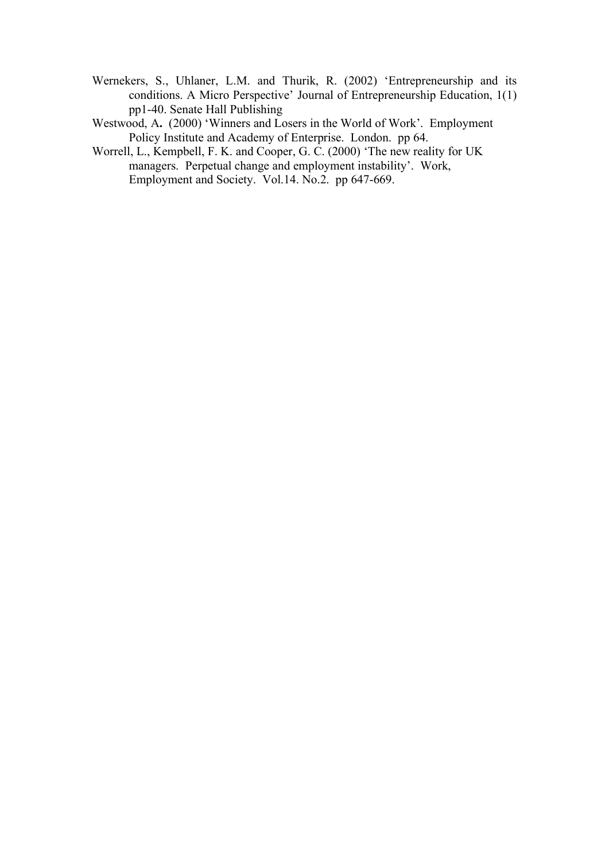- Wernekers, S., Uhlaner, L.M. and Thurik, R. (2002) 'Entrepreneurship and its conditions. A Micro Perspective' Journal of Entrepreneurship Education, 1(1) pp1-40. Senate Hall Publishing
- Westwood, A. (2000) 'Winners and Losers in the World of Work'. Employment Policy Institute and Academy of Enterprise. London. pp 64.
- Worrell, L., Kempbell, F. K. and Cooper, G. C. (2000) 'The new reality for UK managers. Perpetual change and employment instability'. Work, Employment and Society. Vol.14. No.2. pp 647-669.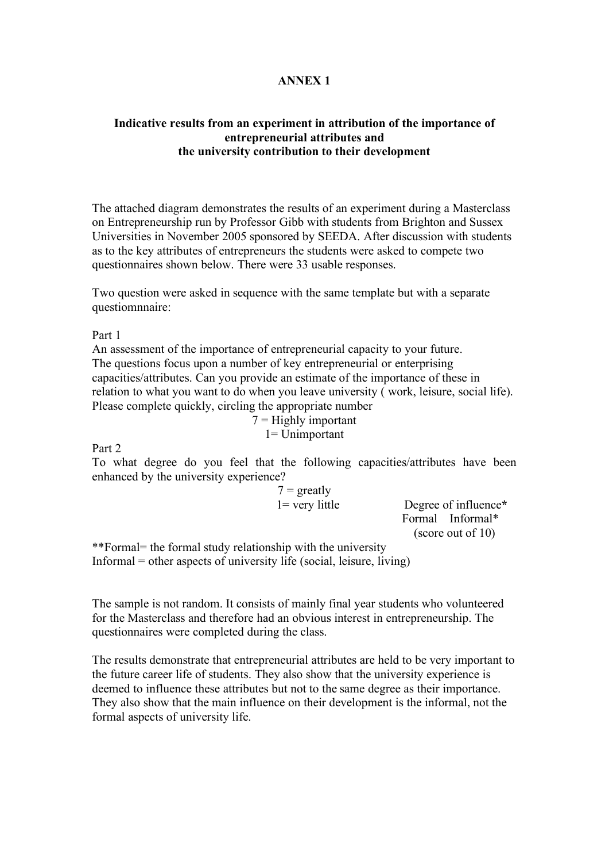## **ANNEX 1**

# **Indicative results from an experiment in attribution of the importance of entrepreneurial attributes and the university contribution to their development**

The attached diagram demonstrates the results of an experiment during a Masterclass on Entrepreneurship run by Professor Gibb with students from Brighton and Sussex Universities in November 2005 sponsored by SEEDA. After discussion with students as to the key attributes of entrepreneurs the students were asked to compete two questionnaires shown below. There were 33 usable responses.

Two question were asked in sequence with the same template but with a separate questiomnnaire:

Part 1

An assessment of the importance of entrepreneurial capacity to your future. The questions focus upon a number of key entrepreneurial or enterprising capacities/attributes. Can you provide an estimate of the importance of these in relation to what you want to do when you leave university ( work, leisure, social life). Please complete quickly, circling the appropriate number

 $7 =$  Highly important 1= Unimportant

Part 2

To what degree do you feel that the following capacities/attributes have been enhanced by the university experience?

> $7 = \text{greatly}$ 1= very little Degree of influence**\*** Formal Informal\* (score out of 10)

\*\*Formal= the formal study relationship with the university Informal = other aspects of university life (social, leisure, living)

The sample is not random. It consists of mainly final year students who volunteered for the Masterclass and therefore had an obvious interest in entrepreneurship. The questionnaires were completed during the class.

The results demonstrate that entrepreneurial attributes are held to be very important to the future career life of students. They also show that the university experience is deemed to influence these attributes but not to the same degree as their importance. They also show that the main influence on their development is the informal, not the formal aspects of university life.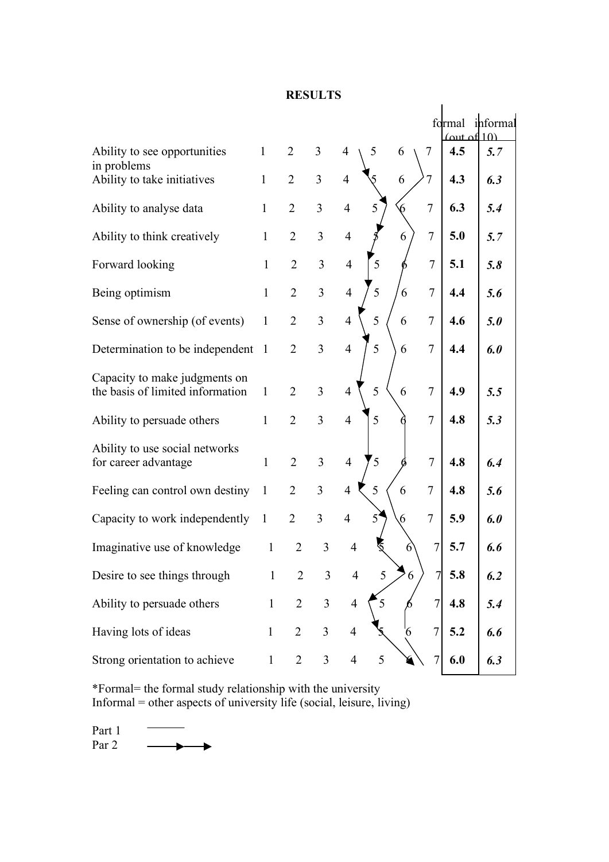## **RESULTS**

|                                                                   |              |                |                         |                          |   |   |                | <u>(out of 10)</u> | formal informal |  |
|-------------------------------------------------------------------|--------------|----------------|-------------------------|--------------------------|---|---|----------------|--------------------|-----------------|--|
| Ability to see opportunities<br>in problems                       | $\mathbf{1}$ | $\overline{2}$ | 3                       | $\overline{4}$           | 5 | 6 | 7              | 4.5                | 5.7             |  |
| Ability to take initiatives                                       | $\mathbf{1}$ | $\overline{2}$ | 3                       | $\overline{4}$           |   | 6 | $\overline{7}$ | 4.3                | 6.3             |  |
| Ability to analyse data                                           | $\mathbf{1}$ | $\overline{2}$ | $\overline{3}$          | $\overline{4}$           | 5 |   | $\overline{7}$ | 6.3                | 5.4             |  |
| Ability to think creatively                                       | $\mathbf{1}$ | $\overline{2}$ | 3                       | $\overline{4}$           |   | 6 | $\overline{7}$ | 5.0                | 5.7             |  |
| Forward looking                                                   | $\mathbf{1}$ | $\overline{2}$ | $\overline{3}$          | $\overline{4}$           | 5 |   | $\overline{7}$ | 5.1                | 5.8             |  |
| Being optimism                                                    | $\mathbf{1}$ | $\overline{2}$ | $\overline{3}$          | $\overline{4}$           | 5 | 6 | $\overline{7}$ | 4.4                | 5.6             |  |
| Sense of ownership (of events)                                    | $\mathbf{1}$ | $\overline{2}$ | 3                       | $\overline{4}$           | 5 | 6 | $\overline{7}$ | 4.6                | 5.0             |  |
| Determination to be independent                                   | $\mathbf{1}$ | $\overline{2}$ | $\overline{3}$          | $\overline{4}$           | 5 | 6 | $\overline{7}$ | 4.4                | 6.0             |  |
| Capacity to make judgments on<br>the basis of limited information | $\mathbf{1}$ | $\overline{2}$ | 3                       | $\overline{4}$           | 5 | 6 | $\tau$         | 4.9                | 5.5             |  |
| Ability to persuade others                                        | $\mathbf{1}$ | $\overline{2}$ | $\overline{3}$          | $\overline{4}$           | 5 |   | $\overline{7}$ | 4.8                | 5.3             |  |
| Ability to use social networks<br>for career advantage            | $\mathbf{1}$ | $\overline{2}$ | $\overline{3}$          | $\overline{4}$           | 5 |   | $\overline{7}$ | 4.8                | 6.4             |  |
| Feeling can control own destiny                                   | $\mathbf{1}$ | $\overline{2}$ | $\overline{3}$          | $\overline{4}$           | 5 | 6 | $\overline{7}$ | 4.8                | 5.6             |  |
| Capacity to work independently                                    | $\mathbf{1}$ | $\overline{2}$ | $\overline{3}$          | $\overline{4}$           | 5 | 6 | $\overline{7}$ | 5.9                | 6.0             |  |
| Imaginative use of knowledge                                      | $\mathbf{1}$ | $\overline{2}$ | 3                       | $\overline{\mathcal{A}}$ |   |   | $\overline{7}$ | 5.7                | 6.6             |  |
| Desire to see things through                                      | $\mathbf{1}$ | $\overline{2}$ | 3                       | $\overline{4}$           | 5 | 6 | 7              | 5.8                | 6.2             |  |
| Ability to persuade others                                        | $\mathbf{1}$ | $\overline{2}$ | $\overline{3}$          | $\overline{4}$           | 5 |   | 7              | 4.8                | 5.4             |  |
| Having lots of ideas                                              | $\mathbf{1}$ | $\overline{2}$ | $\overline{\mathbf{3}}$ | $\overline{4}$           |   | 6 | $\overline{7}$ | 5.2                | 6.6             |  |
| Strong orientation to achieve                                     | $\mathbf{1}$ | $\overline{2}$ | $\mathfrak{Z}$          | $\overline{4}$           | 5 |   | $\overline{7}$ | 6.0                | 6.3             |  |

\*Formal= the formal study relationship with the university Informal = other aspects of university life (social, leisure, living)

Part 1 Par 2  $\longrightarrow$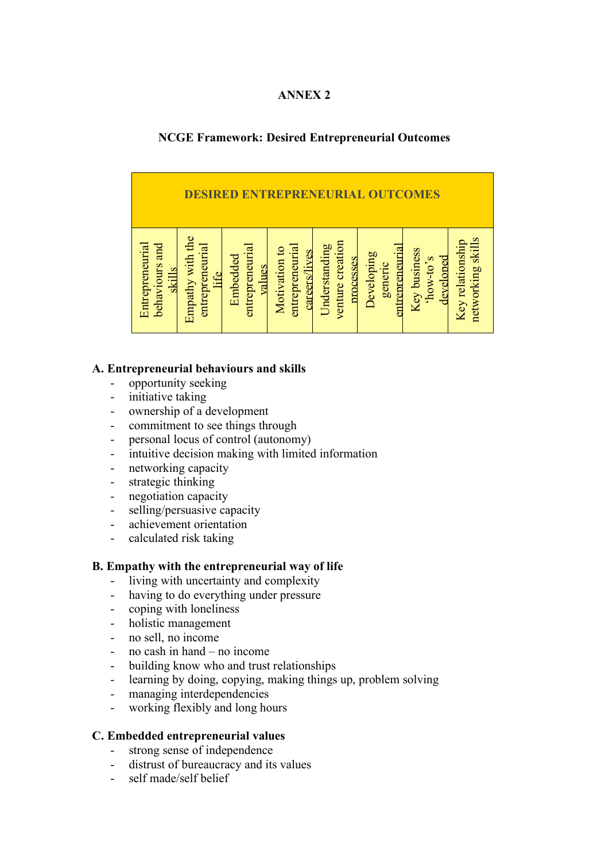## **ANNEX 2**

# **NCGE Framework: Desired Entrepreneurial Outcomes**

| <b>EPR</b><br>E<br><b>MES</b><br>$\Omega$                                                         |                                                                           |                                                                                                                          |                                                                                                                     |  |  |  |  |
|---------------------------------------------------------------------------------------------------|---------------------------------------------------------------------------|--------------------------------------------------------------------------------------------------------------------------|---------------------------------------------------------------------------------------------------------------------|--|--|--|--|
| Empathy with the<br>Entrepreneurial<br>behaviours and<br>entrepreneurial<br><b>skills</b><br>life | entrepreneurial<br>entrepreneurial<br>Motivation to<br>Embedded<br>values | venture creation<br>Understanding<br><b>entrepreneuria</b><br>careers/lives<br><b>Developing</b><br>processes<br>generic | <b>skills</b><br>Key relationship<br><b>Key business</b><br>develoned<br>$2^{\circ}$ or-ro $\alpha$ .<br>networking |  |  |  |  |

# **A. Entrepreneurial behaviours and skills**

- opportunity seeking
- initiative taking
- ownership of a development
- commitment to see things through
- personal locus of control (autonomy)
- intuitive decision making with limited information
- networking capacity
- strategic thinking
- negotiation capacity
- selling/persuasive capacity
- achievement orientation
- calculated risk taking

### **B. Empathy with the entrepreneurial way of life**

- living with uncertainty and complexity
- having to do everything under pressure
- coping with loneliness
- holistic management
- no sell, no income
- no cash in hand no income
- building know who and trust relationships
- learning by doing, copying, making things up, problem solving
- managing interdependencies
- working flexibly and long hours

### **C. Embedded entrepreneurial values**

- strong sense of independence
- distrust of bureaucracy and its values
- self made/self belief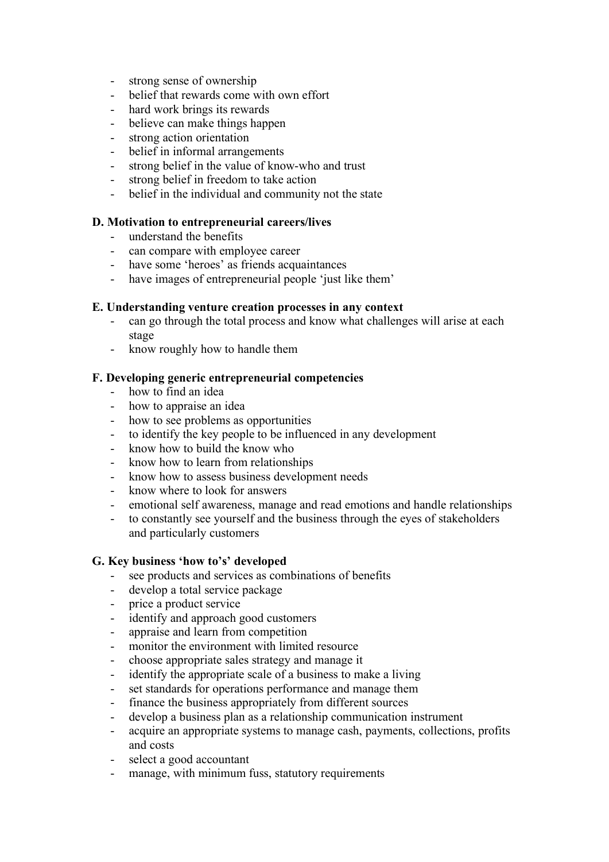- strong sense of ownership
- belief that rewards come with own effort
- hard work brings its rewards
- believe can make things happen
- strong action orientation
- belief in informal arrangements
- strong belief in the value of know-who and trust
- strong belief in freedom to take action
- belief in the individual and community not the state

### **D. Motivation to entrepreneurial careers/lives**

- understand the benefits
- can compare with employee career
- have some 'heroes' as friends acquaintances
- have images of entrepreneurial people 'just like them'

### **E. Understanding venture creation processes in any context**

- can go through the total process and know what challenges will arise at each stage
- know roughly how to handle them

### **F. Developing generic entrepreneurial competencies**

- how to find an idea
- how to appraise an idea
- how to see problems as opportunities
- to identify the key people to be influenced in any development
- know how to build the know who
- know how to learn from relationships
- know how to assess business development needs
- know where to look for answers
- emotional self awareness, manage and read emotions and handle relationships
- to constantly see yourself and the business through the eyes of stakeholders and particularly customers

### **G. Key business 'how to's' developed**

- see products and services as combinations of benefits
- develop a total service package
- price a product service
- identify and approach good customers
- appraise and learn from competition
- monitor the environment with limited resource
- choose appropriate sales strategy and manage it
- identify the appropriate scale of a business to make a living
- set standards for operations performance and manage them
- finance the business appropriately from different sources
- develop a business plan as a relationship communication instrument
- acquire an appropriate systems to manage cash, payments, collections, profits and costs
- select a good accountant
- manage, with minimum fuss, statutory requirements